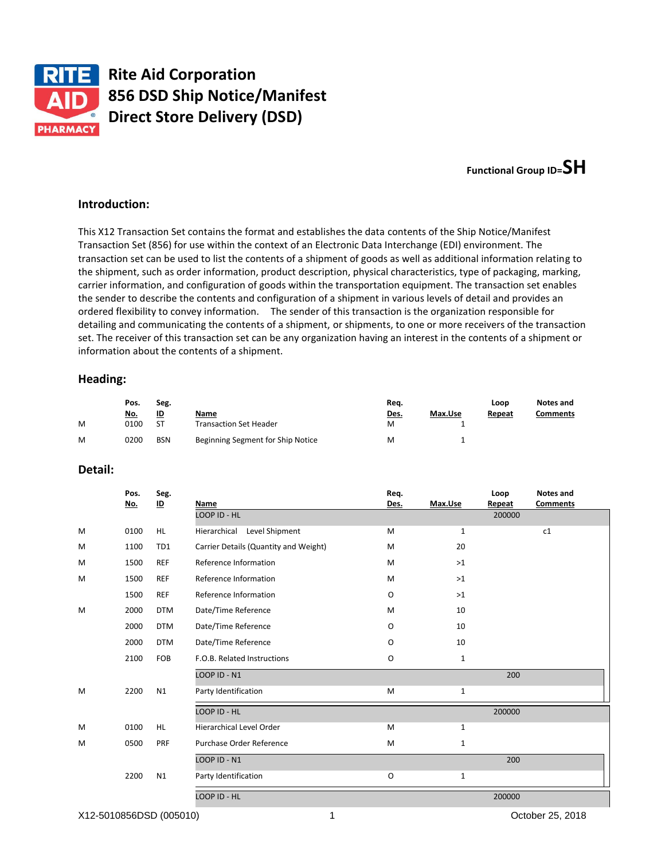

# **Functional Group ID=SH**

#### **Introduction:**

This X12 Transaction Set contains the format and establishes the data contents of the Ship Notice/Manifest Transaction Set (856) for use within the context of an Electronic Data Interchange (EDI) environment. The transaction set can be used to list the contents of a shipment of goods as well as additional information relating to the shipment, such as order information, product description, physical characteristics, type of packaging, marking, carrier information, and configuration of goods within the transportation equipment. The transaction set enables the sender to describe the contents and configuration of a shipment in various levels of detail and provides an ordered flexibility to convey information. The sender of this transaction is the organization responsible for detailing and communicating the contents of a shipment, or shipments, to one or more receivers of the transaction set. The receiver of this transaction set can be any organization having an interest in the contents of a shipment or information about the contents of a shipment.

### **Heading:**

| Seg.<br>Pos. |            |            |                                   | Req. |         | Loop   | Notes and       |
|--------------|------------|------------|-----------------------------------|------|---------|--------|-----------------|
|              | <u>No.</u> | <u>ID</u>  | Name                              | Des. | Max.Use | Repeat | <b>Comments</b> |
| M            | 0100       | -ST        | Transaction Set Header            | M    |         |        |                 |
| M            | 0200       | <b>BSN</b> | Beginning Segment for Ship Notice | M    |         |        |                 |

### **Detail:**

|   | Pos.<br><u>No.</u> | Seg.<br>$\underline{\mathsf{ID}}$ | Name                                  | Req.<br>Des. | Max.Use      | Loop<br>Repeat | <b>Notes and</b><br><b>Comments</b> |
|---|--------------------|-----------------------------------|---------------------------------------|--------------|--------------|----------------|-------------------------------------|
|   |                    |                                   | LOOP ID - HL                          |              |              | 200000         |                                     |
| M | 0100               | HL.                               | Level Shipment<br>Hierarchical        | M            | $\mathbf{1}$ |                | c1                                  |
| M | 1100               | TD1                               | Carrier Details (Quantity and Weight) | M            | 20           |                |                                     |
| M | 1500               | <b>REF</b>                        | Reference Information                 | M            | >1           |                |                                     |
| M | 1500               | <b>REF</b>                        | Reference Information                 | M            | >1           |                |                                     |
|   | 1500               | <b>REF</b>                        | Reference Information                 | O            | $>1$         |                |                                     |
| M | 2000               | <b>DTM</b>                        | Date/Time Reference                   | M            | 10           |                |                                     |
|   | 2000               | <b>DTM</b>                        | Date/Time Reference                   | 0            | 10           |                |                                     |
|   | 2000               | <b>DTM</b>                        | Date/Time Reference                   | O            | 10           |                |                                     |
|   | 2100               | FOB                               | F.O.B. Related Instructions           | O            | $\mathbf{1}$ |                |                                     |
|   |                    |                                   | LOOP ID - N1                          |              |              | 200            |                                     |
| M | 2200               | N1                                | Party Identification                  | M            | $\mathbf{1}$ |                |                                     |
|   |                    |                                   | LOOP ID - HL                          |              |              | 200000         |                                     |
| M | 0100               | HL.                               | <b>Hierarchical Level Order</b>       | M            | $\mathbf{1}$ |                |                                     |
| M | 0500               | PRF                               | Purchase Order Reference              | M            | $\mathbf{1}$ |                |                                     |
|   |                    |                                   | LOOP ID - N1                          |              |              | 200            |                                     |
|   | 2200               | N1                                | Party Identification                  | O            | $\mathbf{1}$ |                |                                     |
|   |                    |                                   | LOOP ID - HL                          |              |              | 200000         |                                     |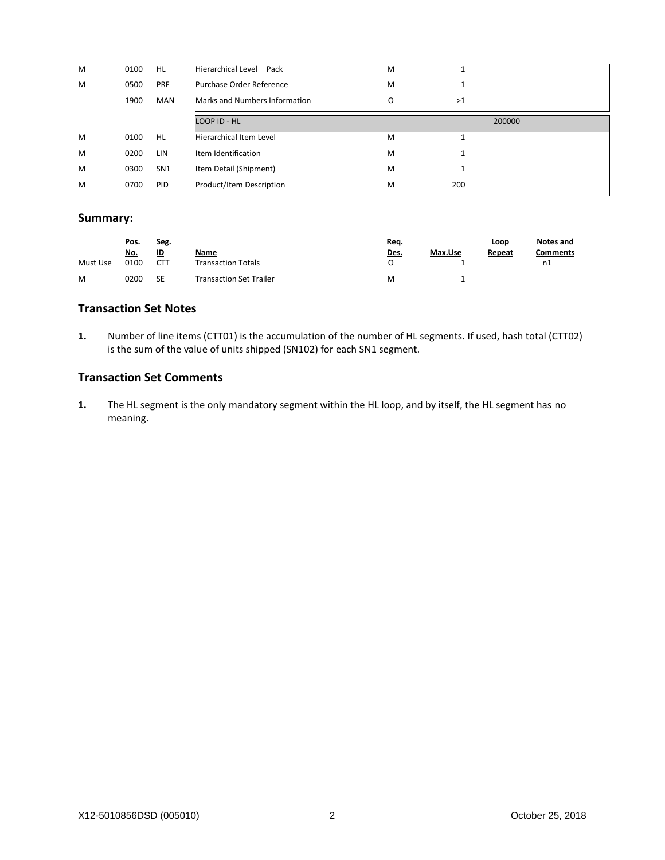| M | 0100 | <b>HL</b>       | <b>Hierarchical Level</b><br>Pack | M |    |        |
|---|------|-----------------|-----------------------------------|---|----|--------|
| M | 0500 | PRF             | Purchase Order Reference          | M |    |        |
|   | 1900 | <b>MAN</b>      | Marks and Numbers Information     | O | >1 |        |
|   |      |                 | LOOP ID - HL                      |   |    | 200000 |
| M | 0100 | <b>HL</b>       | Hierarchical Item Level           | M |    |        |
| M | 0200 | LIN             | Item Identification               | M |    |        |
| M | 0300 | SN <sub>1</sub> | Item Detail (Shipment)            | M |    |        |
| M |      |                 |                                   |   |    |        |

## **Summary:**

| Seg.<br>Pos. |            |            |                                | Req.        |         | Loop   | Notes and |
|--------------|------------|------------|--------------------------------|-------------|---------|--------|-----------|
|              | <u>No.</u> | <u>ID</u>  | Name                           | <u>Des.</u> | Max.Use | Repeat | Comments  |
| Must Use     | 0100       | <b>CTT</b> | <b>Transaction Totals</b>      |             |         |        | n1        |
| M            | 0200       | SE         | <b>Transaction Set Trailer</b> | M           |         |        |           |

### **Transaction Set Notes**

**1.** Number of line items (CTT01) is the accumulation of the number of HL segments. If used, hash total (CTT02) is the sum of the value of units shipped (SN102) for each SN1 segment.

## **Transaction Set Comments**

**1.** The HL segment is the only mandatory segment within the HL loop, and by itself, the HL segment has no meaning.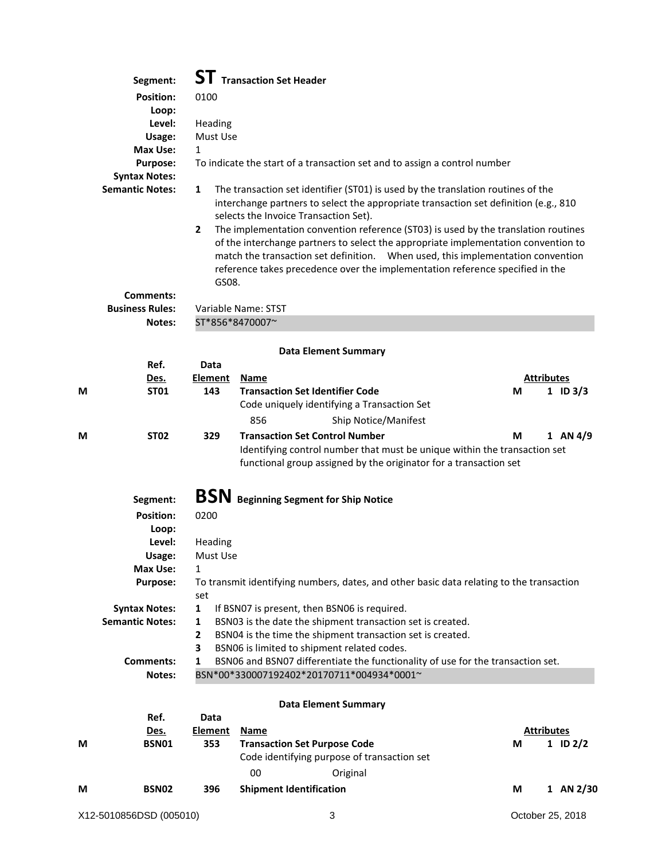|   | Segment:                   |                       | <b>ST</b> Transaction Set Header                                                                                                                                                                                                                                                                                                                                                                                                                                                                                                                                   |   |                   |            |
|---|----------------------------|-----------------------|--------------------------------------------------------------------------------------------------------------------------------------------------------------------------------------------------------------------------------------------------------------------------------------------------------------------------------------------------------------------------------------------------------------------------------------------------------------------------------------------------------------------------------------------------------------------|---|-------------------|------------|
|   | <b>Position:</b>           | 0100                  |                                                                                                                                                                                                                                                                                                                                                                                                                                                                                                                                                                    |   |                   |            |
|   | Loop:                      |                       |                                                                                                                                                                                                                                                                                                                                                                                                                                                                                                                                                                    |   |                   |            |
|   | Level:                     | Heading               |                                                                                                                                                                                                                                                                                                                                                                                                                                                                                                                                                                    |   |                   |            |
|   | Usage:                     | Must Use              |                                                                                                                                                                                                                                                                                                                                                                                                                                                                                                                                                                    |   |                   |            |
|   | Max Use:                   | $\mathbf{1}$          |                                                                                                                                                                                                                                                                                                                                                                                                                                                                                                                                                                    |   |                   |            |
|   | <b>Purpose:</b>            |                       | To indicate the start of a transaction set and to assign a control number                                                                                                                                                                                                                                                                                                                                                                                                                                                                                          |   |                   |            |
|   | <b>Syntax Notes:</b>       |                       |                                                                                                                                                                                                                                                                                                                                                                                                                                                                                                                                                                    |   |                   |            |
|   | <b>Semantic Notes:</b>     | 1<br>$\overline{2}$   | The transaction set identifier (ST01) is used by the translation routines of the<br>interchange partners to select the appropriate transaction set definition (e.g., 810<br>selects the Invoice Transaction Set).<br>The implementation convention reference (ST03) is used by the translation routines<br>of the interchange partners to select the appropriate implementation convention to<br>match the transaction set definition.  When used, this implementation convention<br>reference takes precedence over the implementation reference specified in the |   |                   |            |
|   |                            | GS08.                 |                                                                                                                                                                                                                                                                                                                                                                                                                                                                                                                                                                    |   |                   |            |
|   | <b>Comments:</b>           |                       |                                                                                                                                                                                                                                                                                                                                                                                                                                                                                                                                                                    |   |                   |            |
|   | <b>Business Rules:</b>     |                       | Variable Name: STST                                                                                                                                                                                                                                                                                                                                                                                                                                                                                                                                                |   |                   |            |
|   | Notes:                     |                       | ST*856*8470007~                                                                                                                                                                                                                                                                                                                                                                                                                                                                                                                                                    |   |                   |            |
|   |                            |                       |                                                                                                                                                                                                                                                                                                                                                                                                                                                                                                                                                                    |   |                   |            |
|   |                            |                       | <b>Data Element Summary</b>                                                                                                                                                                                                                                                                                                                                                                                                                                                                                                                                        |   |                   |            |
|   | Ref.                       | Data                  |                                                                                                                                                                                                                                                                                                                                                                                                                                                                                                                                                                    |   |                   |            |
|   | Des.                       | <b>Element</b>        | <b>Name</b>                                                                                                                                                                                                                                                                                                                                                                                                                                                                                                                                                        |   | <b>Attributes</b> |            |
| M | <b>ST01</b>                | 143                   | <b>Transaction Set Identifier Code</b><br>Code uniquely identifying a Transaction Set                                                                                                                                                                                                                                                                                                                                                                                                                                                                              | М |                   | 1 ID $3/3$ |
|   |                            |                       | 856<br>Ship Notice/Manifest                                                                                                                                                                                                                                                                                                                                                                                                                                                                                                                                        |   |                   |            |
| М | <b>ST02</b>                | 329                   | <b>Transaction Set Control Number</b><br>Identifying control number that must be unique within the transaction set<br>functional group assigned by the originator for a transaction set                                                                                                                                                                                                                                                                                                                                                                            | М |                   | 1 AN $4/9$ |
|   | Segment:                   | <b>BSN</b>            | <b>Beginning Segment for Ship Notice</b>                                                                                                                                                                                                                                                                                                                                                                                                                                                                                                                           |   |                   |            |
|   | <b>Position:</b>           | 0200                  |                                                                                                                                                                                                                                                                                                                                                                                                                                                                                                                                                                    |   |                   |            |
|   | Loop:                      |                       |                                                                                                                                                                                                                                                                                                                                                                                                                                                                                                                                                                    |   |                   |            |
|   | Level:                     | Heading               |                                                                                                                                                                                                                                                                                                                                                                                                                                                                                                                                                                    |   |                   |            |
|   | Usage:                     | Must Use              |                                                                                                                                                                                                                                                                                                                                                                                                                                                                                                                                                                    |   |                   |            |
|   | Max Use:                   | $\mathbf{1}$          |                                                                                                                                                                                                                                                                                                                                                                                                                                                                                                                                                                    |   |                   |            |
|   | <b>Purpose:</b>            | set                   | To transmit identifying numbers, dates, and other basic data relating to the transaction                                                                                                                                                                                                                                                                                                                                                                                                                                                                           |   |                   |            |
|   | <b>Syntax Notes:</b>       | 1                     | If BSN07 is present, then BSN06 is required.                                                                                                                                                                                                                                                                                                                                                                                                                                                                                                                       |   |                   |            |
|   | <b>Semantic Notes:</b>     | 1                     | BSN03 is the date the shipment transaction set is created.                                                                                                                                                                                                                                                                                                                                                                                                                                                                                                         |   |                   |            |
|   |                            | 2                     | BSN04 is the time the shipment transaction set is created.                                                                                                                                                                                                                                                                                                                                                                                                                                                                                                         |   |                   |            |
|   |                            | 3                     | BSN06 is limited to shipment related codes.                                                                                                                                                                                                                                                                                                                                                                                                                                                                                                                        |   |                   |            |
|   | <b>Comments:</b><br>Notes: | 1                     | BSN06 and BSN07 differentiate the functionality of use for the transaction set.<br>BSN*00*330007192402*20170711*004934*0001~                                                                                                                                                                                                                                                                                                                                                                                                                                       |   |                   |            |
|   |                            |                       | <b>Data Element Summary</b>                                                                                                                                                                                                                                                                                                                                                                                                                                                                                                                                        |   |                   |            |
|   | Ref.                       | Data                  |                                                                                                                                                                                                                                                                                                                                                                                                                                                                                                                                                                    |   |                   |            |
| М | Des.<br><b>BSN01</b>       | <b>Element</b><br>353 | <b>Name</b><br><b>Transaction Set Purpose Code</b>                                                                                                                                                                                                                                                                                                                                                                                                                                                                                                                 | М | <b>Attributes</b> |            |
|   |                            |                       | Code identifying purpose of transaction set                                                                                                                                                                                                                                                                                                                                                                                                                                                                                                                        |   |                   | 1 ID $2/2$ |
|   |                            |                       |                                                                                                                                                                                                                                                                                                                                                                                                                                                                                                                                                                    |   |                   |            |
|   |                            |                       | 00<br>Original                                                                                                                                                                                                                                                                                                                                                                                                                                                                                                                                                     |   |                   |            |
| М | <b>BSN02</b>               | 396                   | <b>Shipment Identification</b>                                                                                                                                                                                                                                                                                                                                                                                                                                                                                                                                     | М |                   | 1 AN 2/30  |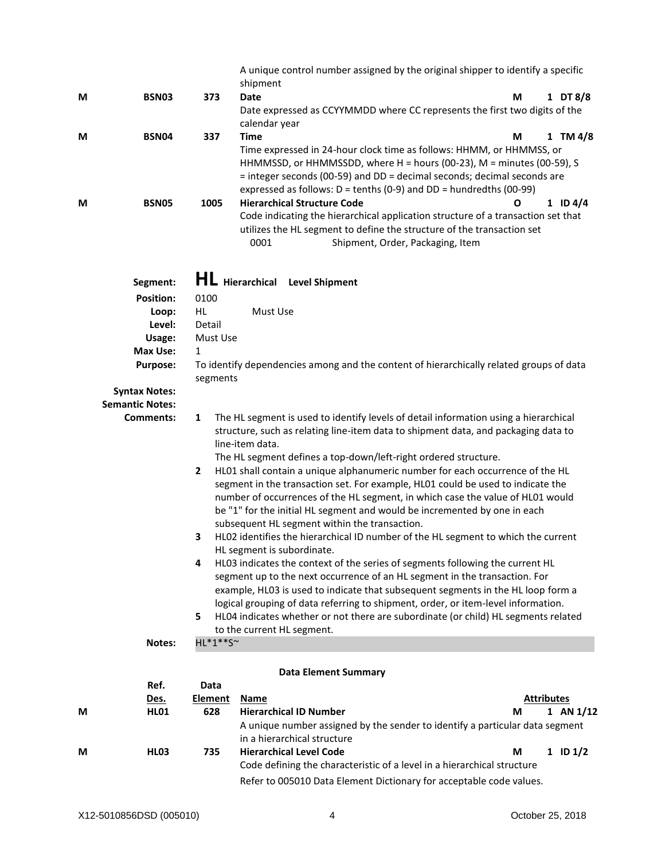| M | <b>BSN03</b>                                   | 373                      | A unique control number assigned by the original shipper to identify a specific<br>shipment<br><b>Date</b>                                                                                                                                                                                                                                                                                                                                               | М                 | 1 DT 8/8     |
|---|------------------------------------------------|--------------------------|----------------------------------------------------------------------------------------------------------------------------------------------------------------------------------------------------------------------------------------------------------------------------------------------------------------------------------------------------------------------------------------------------------------------------------------------------------|-------------------|--------------|
|   |                                                |                          | Date expressed as CCYYMMDD where CC represents the first two digits of the<br>calendar year                                                                                                                                                                                                                                                                                                                                                              |                   |              |
| М | BSN04                                          | 337                      | <b>Time</b><br>Time expressed in 24-hour clock time as follows: HHMM, or HHMMSS, or<br>HHMMSSD, or HHMMSSDD, where H = hours (00-23), M = minutes (00-59), S<br>= integer seconds (00-59) and DD = decimal seconds; decimal seconds are<br>expressed as follows: $D =$ tenths (0-9) and $DD =$ hundredths (00-99)                                                                                                                                        | М                 | $1$ TM $4/8$ |
| M | <b>BSN05</b>                                   | 1005                     | <b>Hierarchical Structure Code</b><br>Code indicating the hierarchical application structure of a transaction set that<br>utilizes the HL segment to define the structure of the transaction set<br>0001<br>Shipment, Order, Packaging, Item                                                                                                                                                                                                             | Ο                 | 1 ID $4/4$   |
|   | Segment:                                       |                          | <b>HL</b> Hierarchical Level Shipment                                                                                                                                                                                                                                                                                                                                                                                                                    |                   |              |
|   | <b>Position:</b>                               | 0100                     |                                                                                                                                                                                                                                                                                                                                                                                                                                                          |                   |              |
|   | Loop:                                          | HL.                      | Must Use                                                                                                                                                                                                                                                                                                                                                                                                                                                 |                   |              |
|   | Level:                                         | Detail                   |                                                                                                                                                                                                                                                                                                                                                                                                                                                          |                   |              |
|   | Usage:                                         | Must Use<br>$\mathbf{1}$ |                                                                                                                                                                                                                                                                                                                                                                                                                                                          |                   |              |
|   | Max Use:<br>Purpose:                           | segments                 | To identify dependencies among and the content of hierarchically related groups of data                                                                                                                                                                                                                                                                                                                                                                  |                   |              |
|   | <b>Syntax Notes:</b><br><b>Semantic Notes:</b> |                          |                                                                                                                                                                                                                                                                                                                                                                                                                                                          |                   |              |
|   | Comments:                                      | 1                        | The HL segment is used to identify levels of detail information using a hierarchical<br>structure, such as relating line-item data to shipment data, and packaging data to<br>line-item data.<br>The HL segment defines a top-down/left-right ordered structure.                                                                                                                                                                                         |                   |              |
|   |                                                | $\mathbf{2}$             | HL01 shall contain a unique alphanumeric number for each occurrence of the HL<br>segment in the transaction set. For example, HL01 could be used to indicate the<br>number of occurrences of the HL segment, in which case the value of HL01 would<br>be "1" for the initial HL segment and would be incremented by one in each<br>subsequent HL segment within the transaction.                                                                         |                   |              |
|   |                                                | 3                        | HL02 identifies the hierarchical ID number of the HL segment to which the current<br>HL segment is subordinate.                                                                                                                                                                                                                                                                                                                                          |                   |              |
|   |                                                | 4<br>5                   | HL03 indicates the context of the series of segments following the current HL<br>segment up to the next occurrence of an HL segment in the transaction. For<br>example, HL03 is used to indicate that subsequent segments in the HL loop form a<br>logical grouping of data referring to shipment, order, or item-level information.<br>HL04 indicates whether or not there are subordinate (or child) HL segments related<br>to the current HL segment. |                   |              |
|   | Notes:                                         | HL*1**S~                 |                                                                                                                                                                                                                                                                                                                                                                                                                                                          |                   |              |
|   |                                                |                          | <b>Data Element Summary</b>                                                                                                                                                                                                                                                                                                                                                                                                                              |                   |              |
|   | Ref.                                           | Data                     |                                                                                                                                                                                                                                                                                                                                                                                                                                                          |                   |              |
|   | Des.                                           | <b>Element</b>           | <b>Name</b>                                                                                                                                                                                                                                                                                                                                                                                                                                              | <b>Attributes</b> |              |
| M | <b>HL01</b>                                    | 628                      | <b>Hierarchical ID Number</b><br>A unique number assigned by the sender to identify a particular data segment<br>in a hierarchical structure                                                                                                                                                                                                                                                                                                             | М                 | 1 AN $1/12$  |
| М | <b>HL03</b>                                    | 735                      | <b>Hierarchical Level Code</b>                                                                                                                                                                                                                                                                                                                                                                                                                           | М                 | $1$ ID $1/2$ |

X12-5010856DSD (005010) 4 October 25, 2018

Code defining the characteristic of a level in a hierarchical structure Refer to 005010 Data Element Dictionary for acceptable code values.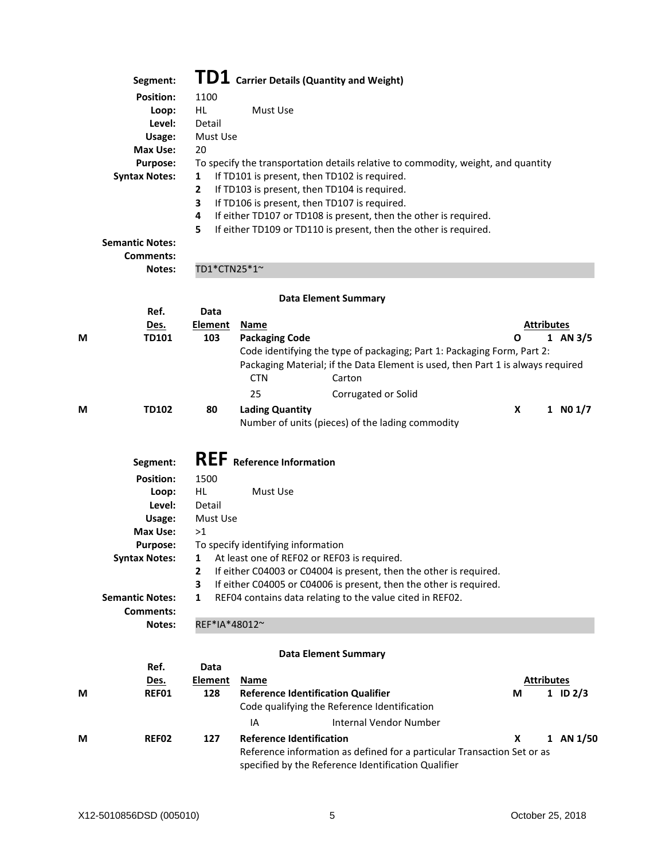|   | Segment:                                                                                                                                           |                                                                                   | $\textbf{T} \textbf{D} \textbf{1}$ Carrier Details (Quantity and Weight)                                                                                                                                                                                                                                                                                                              |                   |            |
|---|----------------------------------------------------------------------------------------------------------------------------------------------------|-----------------------------------------------------------------------------------|---------------------------------------------------------------------------------------------------------------------------------------------------------------------------------------------------------------------------------------------------------------------------------------------------------------------------------------------------------------------------------------|-------------------|------------|
|   | <b>Position:</b><br>Loop:<br>Level:<br>Usage:<br>Max Use:<br><b>Purpose:</b><br><b>Syntax Notes:</b><br><b>Semantic Notes:</b><br><b>Comments:</b> | 1100<br><b>HL</b><br>Detail<br>Must Use<br>20<br>1<br>$\mathbf{2}$<br>3<br>4<br>5 | Must Use<br>To specify the transportation details relative to commodity, weight, and quantity<br>If TD101 is present, then TD102 is required.<br>If TD103 is present, then TD104 is required.<br>If TD106 is present, then TD107 is required.<br>If either TD107 or TD108 is present, then the other is required.<br>If either TD109 or TD110 is present, then the other is required. |                   |            |
|   | Notes:                                                                                                                                             | TD1*CTN25*1~                                                                      |                                                                                                                                                                                                                                                                                                                                                                                       |                   |            |
|   |                                                                                                                                                    |                                                                                   | <b>Data Element Summary</b>                                                                                                                                                                                                                                                                                                                                                           |                   |            |
|   | Ref.                                                                                                                                               | Data                                                                              |                                                                                                                                                                                                                                                                                                                                                                                       |                   |            |
|   | Des.                                                                                                                                               | <b>Element</b>                                                                    | <b>Name</b>                                                                                                                                                                                                                                                                                                                                                                           | <b>Attributes</b> |            |
| M | <b>TD101</b>                                                                                                                                       | 103                                                                               | <b>Packaging Code</b>                                                                                                                                                                                                                                                                                                                                                                 | Ο                 | 1 AN $3/5$ |
|   |                                                                                                                                                    |                                                                                   | Code identifying the type of packaging; Part 1: Packaging Form, Part 2:<br>Packaging Material; if the Data Element is used, then Part 1 is always required<br><b>CTN</b><br>Carton<br>25<br>Corrugated or Solid                                                                                                                                                                       |                   |            |
| M | <b>TD102</b>                                                                                                                                       | 80                                                                                | <b>Lading Quantity</b>                                                                                                                                                                                                                                                                                                                                                                | X                 | 1 N01/7    |
|   |                                                                                                                                                    |                                                                                   | Number of units (pieces) of the lading commodity                                                                                                                                                                                                                                                                                                                                      |                   |            |
|   | Segment:                                                                                                                                           |                                                                                   | <b>REF</b> Reference Information                                                                                                                                                                                                                                                                                                                                                      |                   |            |
|   | <b>Position:</b>                                                                                                                                   | 1500                                                                              |                                                                                                                                                                                                                                                                                                                                                                                       |                   |            |
|   | Loop:<br>Level:                                                                                                                                    | HL.<br>Detail                                                                     | Must Use                                                                                                                                                                                                                                                                                                                                                                              |                   |            |
|   | Usage:                                                                                                                                             | Must Use                                                                          |                                                                                                                                                                                                                                                                                                                                                                                       |                   |            |
|   | Max Use:                                                                                                                                           | >1                                                                                |                                                                                                                                                                                                                                                                                                                                                                                       |                   |            |
|   | <b>Purpose:</b>                                                                                                                                    |                                                                                   | To specify identifying information                                                                                                                                                                                                                                                                                                                                                    |                   |            |
|   | <b>Syntax Notes:</b>                                                                                                                               | 1                                                                                 | At least one of REF02 or REF03 is required.                                                                                                                                                                                                                                                                                                                                           |                   |            |
|   |                                                                                                                                                    | 2                                                                                 | If either C04003 or C04004 is present, then the other is required.                                                                                                                                                                                                                                                                                                                    |                   |            |
|   |                                                                                                                                                    | 3                                                                                 | If either C04005 or C04006 is present, then the other is required.                                                                                                                                                                                                                                                                                                                    |                   |            |
|   | <b>Semantic Notes:</b>                                                                                                                             | 1                                                                                 | REF04 contains data relating to the value cited in REF02.                                                                                                                                                                                                                                                                                                                             |                   |            |
|   | <b>Comments:</b>                                                                                                                                   |                                                                                   |                                                                                                                                                                                                                                                                                                                                                                                       |                   |            |
|   | Notes:                                                                                                                                             | REF*IA*48012~                                                                     |                                                                                                                                                                                                                                                                                                                                                                                       |                   |            |
|   |                                                                                                                                                    |                                                                                   | <b>Data Element Summary</b>                                                                                                                                                                                                                                                                                                                                                           |                   |            |
|   | Ref.                                                                                                                                               | Data                                                                              |                                                                                                                                                                                                                                                                                                                                                                                       |                   |            |
|   | Des.                                                                                                                                               | <b>Element</b>                                                                    | Name                                                                                                                                                                                                                                                                                                                                                                                  | <b>Attributes</b> |            |
| M | REF01                                                                                                                                              | 128                                                                               | <b>Reference Identification Qualifier</b>                                                                                                                                                                                                                                                                                                                                             | М                 | 1 ID $2/3$ |
|   |                                                                                                                                                    |                                                                                   | Code qualifying the Reference Identification                                                                                                                                                                                                                                                                                                                                          |                   |            |
|   |                                                                                                                                                    |                                                                                   | <b>Internal Vendor Number</b><br>IA                                                                                                                                                                                                                                                                                                                                                   |                   |            |
| М | <b>REF02</b>                                                                                                                                       | 127                                                                               | <b>Reference Identification</b>                                                                                                                                                                                                                                                                                                                                                       | X                 | 1 AN 1/50  |
|   |                                                                                                                                                    |                                                                                   | Reference information as defined for a particular Transaction Set or as                                                                                                                                                                                                                                                                                                               |                   |            |
|   |                                                                                                                                                    |                                                                                   | specified by the Reference Identification Qualifier                                                                                                                                                                                                                                                                                                                                   |                   |            |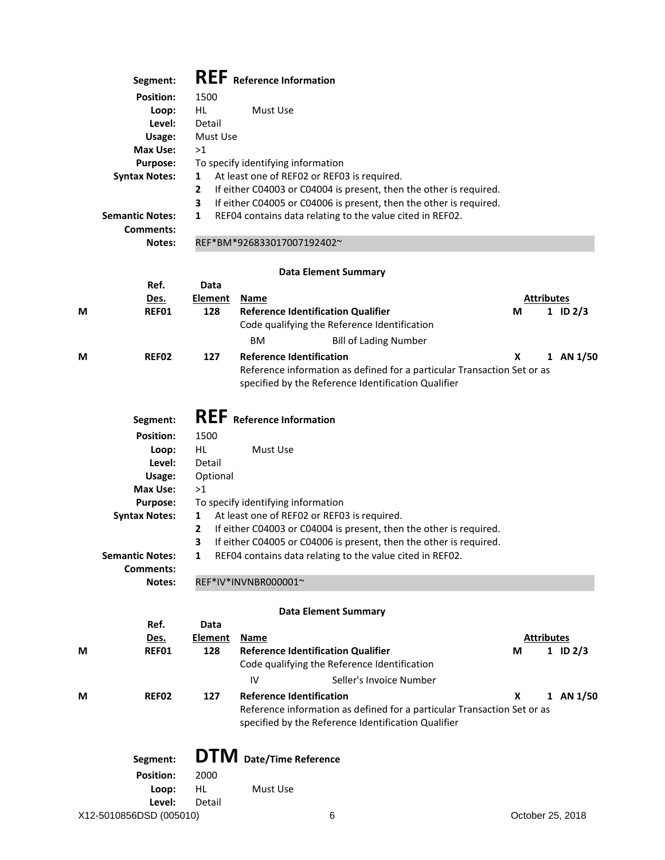|   | Segment:                                |                | REF Reference Information                                                                                                                |                   |                  |
|---|-----------------------------------------|----------------|------------------------------------------------------------------------------------------------------------------------------------------|-------------------|------------------|
|   | <b>Position:</b>                        | 1500           |                                                                                                                                          |                   |                  |
|   | Loop:                                   | HL             | Must Use                                                                                                                                 |                   |                  |
|   | Level:                                  | Detail         |                                                                                                                                          |                   |                  |
|   | Usage:                                  | Must Use       |                                                                                                                                          |                   |                  |
|   | Max Use:                                | >1             |                                                                                                                                          |                   |                  |
|   | <b>Purpose:</b>                         |                | To specify identifying information                                                                                                       |                   |                  |
|   | <b>Syntax Notes:</b>                    | 1<br>2         | At least one of REF02 or REF03 is required.                                                                                              |                   |                  |
|   |                                         | 3              | If either C04003 or C04004 is present, then the other is required.<br>If either C04005 or C04006 is present, then the other is required. |                   |                  |
|   | <b>Semantic Notes:</b>                  | 1              | REF04 contains data relating to the value cited in REF02.                                                                                |                   |                  |
|   | Comments:                               |                |                                                                                                                                          |                   |                  |
|   | Notes:                                  |                | REF*BM*926833017007192402~                                                                                                               |                   |                  |
|   |                                         |                |                                                                                                                                          |                   |                  |
|   | Ref.                                    | Data           | <b>Data Element Summary</b>                                                                                                              |                   |                  |
|   | Des.                                    | <b>Element</b> | Name                                                                                                                                     | <b>Attributes</b> |                  |
| M | REF01                                   | 128            | <b>Reference Identification Qualifier</b>                                                                                                | М                 | $1$ ID $2/3$     |
|   |                                         |                | Code qualifying the Reference Identification                                                                                             |                   |                  |
|   |                                         |                | <b>BM</b><br><b>Bill of Lading Number</b>                                                                                                |                   |                  |
| М | REF02                                   | 127            | <b>Reference Identification</b>                                                                                                          | X                 | 1 AN 1/50        |
|   |                                         |                | Reference information as defined for a particular Transaction Set or as                                                                  |                   |                  |
|   |                                         |                | specified by the Reference Identification Qualifier                                                                                      |                   |                  |
|   |                                         |                |                                                                                                                                          |                   |                  |
|   | Segment:                                |                | <b>REF</b> Reference Information                                                                                                         |                   |                  |
|   | <b>Position:</b>                        | 1500           |                                                                                                                                          |                   |                  |
|   | Loop:                                   | <b>HL</b>      | Must Use                                                                                                                                 |                   |                  |
|   | Level:                                  | Detail         |                                                                                                                                          |                   |                  |
|   | Usage:                                  | Optional       |                                                                                                                                          |                   |                  |
|   | Max Use:                                | >1             | To specify identifying information                                                                                                       |                   |                  |
|   | <b>Purpose:</b><br><b>Syntax Notes:</b> | 1              | At least one of REF02 or REF03 is required.                                                                                              |                   |                  |
|   |                                         | $\mathbf{2}$   | If either C04003 or C04004 is present, then the other is required.                                                                       |                   |                  |
|   |                                         | 3              | If either C04005 or C04006 is present, then the other is required.                                                                       |                   |                  |
|   | <b>Semantic Notes:</b>                  |                | 1 REF04 contains data relating to the value cited in REF02.                                                                              |                   |                  |
|   | Comments:                               |                |                                                                                                                                          |                   |                  |
|   | Notes:                                  |                | REF*IV*INVNBR000001~                                                                                                                     |                   |                  |
|   |                                         |                | <b>Data Element Summary</b>                                                                                                              |                   |                  |
|   | Ref.                                    | Data           |                                                                                                                                          |                   |                  |
|   | Des.                                    | Element        | <u>Name</u>                                                                                                                              | <b>Attributes</b> |                  |
| M | REF01                                   | 128            | <b>Reference Identification Qualifier</b>                                                                                                | М                 | 1 ID $2/3$       |
|   |                                         |                | Code qualifying the Reference Identification                                                                                             |                   |                  |
|   |                                         |                | IV<br>Seller's Invoice Number                                                                                                            |                   |                  |
| М | REF02                                   | 127            | <b>Reference Identification</b>                                                                                                          | x                 | 1 AN $1/50$      |
|   |                                         |                | Reference information as defined for a particular Transaction Set or as                                                                  |                   |                  |
|   |                                         |                | specified by the Reference Identification Qualifier                                                                                      |                   |                  |
|   |                                         |                |                                                                                                                                          |                   |                  |
|   | Segment:                                |                | <b>DTM</b> Date/Time Reference                                                                                                           |                   |                  |
|   | <b>Position:</b>                        | 2000           |                                                                                                                                          |                   |                  |
|   | Loop:                                   | HL.            | Must Use                                                                                                                                 |                   |                  |
|   | Level:<br>X12-5010856DSD (005010)       | Detail         | 6                                                                                                                                        |                   | October 25, 2018 |
|   |                                         |                |                                                                                                                                          |                   |                  |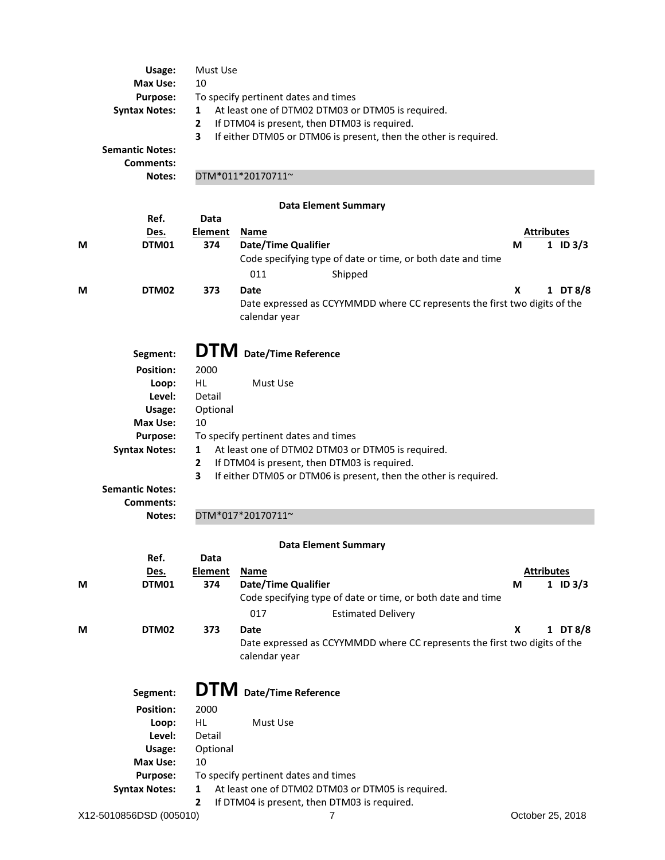|   | Usage:<br>Max Use:<br><b>Purpose:</b><br><b>Syntax Notes:</b><br><b>Semantic Notes:</b><br>Comments:<br><b>Notes:</b> | Must Use<br>10<br>1<br>$\mathbf{2}$<br>3 | To specify pertinent dates and times<br>At least one of DTM02 DTM03 or DTM05 is required.<br>If DTM04 is present, then DTM03 is required.<br>If either DTM05 or DTM06 is present, then the other is required.<br>DTM*011*20170711~ |                   |  |  |  |
|---|-----------------------------------------------------------------------------------------------------------------------|------------------------------------------|------------------------------------------------------------------------------------------------------------------------------------------------------------------------------------------------------------------------------------|-------------------|--|--|--|
|   |                                                                                                                       |                                          |                                                                                                                                                                                                                                    |                   |  |  |  |
|   |                                                                                                                       |                                          | <b>Data Element Summary</b>                                                                                                                                                                                                        |                   |  |  |  |
|   | Ref.                                                                                                                  | Data                                     |                                                                                                                                                                                                                                    | <b>Attributes</b> |  |  |  |
| М | Des.<br>DTM01                                                                                                         | <b>Element</b><br>374                    | <b>Name</b><br><b>Date/Time Qualifier</b>                                                                                                                                                                                          | M<br>1 ID $3/3$   |  |  |  |
|   |                                                                                                                       |                                          | Code specifying type of date or time, or both date and time                                                                                                                                                                        |                   |  |  |  |
|   |                                                                                                                       |                                          | 011<br>Shipped                                                                                                                                                                                                                     |                   |  |  |  |
|   |                                                                                                                       |                                          |                                                                                                                                                                                                                                    |                   |  |  |  |
| М | DTM02                                                                                                                 | 373                                      | Date<br>Date expressed as CCYYMMDD where CC represents the first two digits of the<br>calendar year                                                                                                                                | X<br>1 DT $8/8$   |  |  |  |
|   | Segment:                                                                                                              |                                          | <b>DTM</b> Date/Time Reference                                                                                                                                                                                                     |                   |  |  |  |
|   | <b>Position:</b>                                                                                                      | 2000                                     |                                                                                                                                                                                                                                    |                   |  |  |  |
|   | Loop:                                                                                                                 | HL.                                      | Must Use                                                                                                                                                                                                                           |                   |  |  |  |
|   | Level:                                                                                                                | Detail                                   |                                                                                                                                                                                                                                    |                   |  |  |  |
|   | Usage:                                                                                                                | Optional                                 |                                                                                                                                                                                                                                    |                   |  |  |  |
|   | <b>Max Use:</b>                                                                                                       | 10                                       |                                                                                                                                                                                                                                    |                   |  |  |  |
|   | <b>Purpose:</b>                                                                                                       |                                          | To specify pertinent dates and times                                                                                                                                                                                               |                   |  |  |  |
|   | <b>Syntax Notes:</b>                                                                                                  | $\mathbf{1}$                             | At least one of DTM02 DTM03 or DTM05 is required.                                                                                                                                                                                  |                   |  |  |  |
|   |                                                                                                                       | $\mathbf{2}$                             | If DTM04 is present, then DTM03 is required.                                                                                                                                                                                       |                   |  |  |  |
|   |                                                                                                                       | 3                                        | If either DTM05 or DTM06 is present, then the other is required.                                                                                                                                                                   |                   |  |  |  |
|   | <b>Semantic Notes:</b><br>Comments:                                                                                   |                                          |                                                                                                                                                                                                                                    |                   |  |  |  |
|   | Notes:                                                                                                                |                                          | DTM*017*20170711~                                                                                                                                                                                                                  |                   |  |  |  |
|   |                                                                                                                       |                                          | <b>Data Element Summary</b>                                                                                                                                                                                                        |                   |  |  |  |
|   | Ref.                                                                                                                  | Data                                     |                                                                                                                                                                                                                                    |                   |  |  |  |
|   | Des.                                                                                                                  | <b>Element</b>                           | <b>Name</b>                                                                                                                                                                                                                        | <b>Attributes</b> |  |  |  |
| М | DTM01                                                                                                                 | 374                                      | <b>Date/Time Qualifier</b>                                                                                                                                                                                                         | M<br>1 ID $3/3$   |  |  |  |
|   |                                                                                                                       |                                          | Code specifying type of date or time, or both date and time                                                                                                                                                                        |                   |  |  |  |
|   |                                                                                                                       |                                          | 017<br><b>Estimated Delivery</b>                                                                                                                                                                                                   |                   |  |  |  |
| M | DTM02                                                                                                                 | 373                                      | Date                                                                                                                                                                                                                               | X<br>1 DT 8/8     |  |  |  |
|   |                                                                                                                       |                                          | Date expressed as CCYYMMDD where CC represents the first two digits of the<br>calendar year                                                                                                                                        |                   |  |  |  |
|   |                                                                                                                       |                                          |                                                                                                                                                                                                                                    |                   |  |  |  |
|   | Segment:                                                                                                              |                                          | <b>DTM</b> Date/Time Reference                                                                                                                                                                                                     |                   |  |  |  |
|   | <b>Position:</b>                                                                                                      | 2000                                     |                                                                                                                                                                                                                                    |                   |  |  |  |
|   | Loop:                                                                                                                 | HL.                                      | Must Use                                                                                                                                                                                                                           |                   |  |  |  |
|   | Level:                                                                                                                | Detail                                   |                                                                                                                                                                                                                                    |                   |  |  |  |
|   | Usage:                                                                                                                | Optional                                 |                                                                                                                                                                                                                                    |                   |  |  |  |
|   | <b>Max Use:</b>                                                                                                       | 10                                       |                                                                                                                                                                                                                                    |                   |  |  |  |
|   | Purpose:                                                                                                              | 1                                        | To specify pertinent dates and times<br>At least one of DTM02 DTM03 or DTM05 is required.                                                                                                                                          |                   |  |  |  |
|   | <b>Syntax Notes:</b>                                                                                                  | 2                                        | If DTM04 is present, then DTM03 is required.                                                                                                                                                                                       |                   |  |  |  |
|   | X12-5010856DSD (005010)                                                                                               |                                          | 7                                                                                                                                                                                                                                  | October 25, 2018  |  |  |  |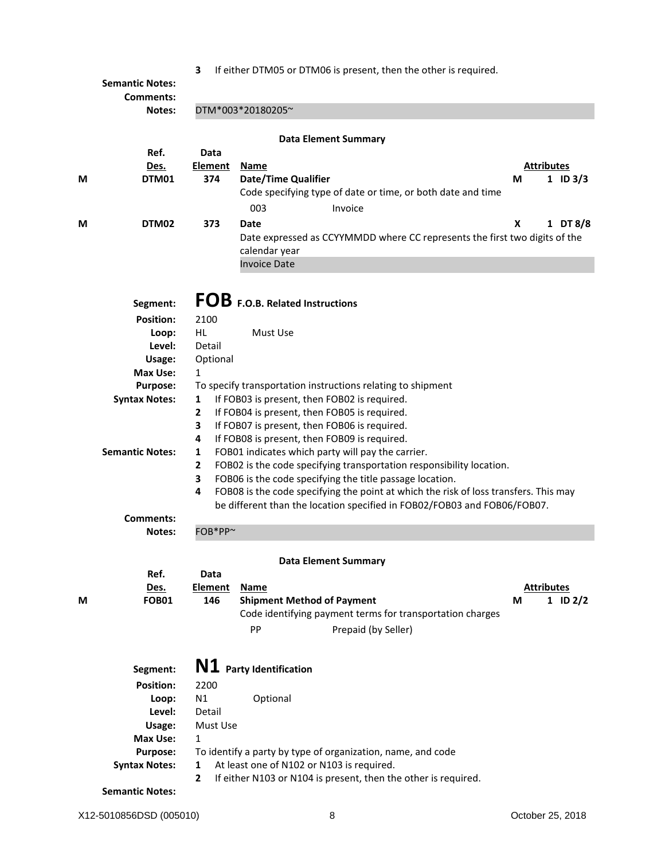|  |  |  |  |  |  | 3 If either DTM05 or DTM06 is present, then the other is required. |
|--|--|--|--|--|--|--------------------------------------------------------------------|
|--|--|--|--|--|--|--------------------------------------------------------------------|

|   | <b>Semantic Notes:</b><br><b>Comments:</b> |                               | IT CRITCH DITINGS OF DITINGS IS DICSCHI, MICH MIC OMICHIS FEGULEU.                                                                           |                                      |  |  |  |  |  |  |
|---|--------------------------------------------|-------------------------------|----------------------------------------------------------------------------------------------------------------------------------------------|--------------------------------------|--|--|--|--|--|--|
|   | Notes:                                     | DTM*003*20180205~             |                                                                                                                                              |                                      |  |  |  |  |  |  |
|   | Ref.                                       | <b>Data Element Summary</b>   |                                                                                                                                              |                                      |  |  |  |  |  |  |
| М | Des.<br>DTM01                              | Data<br><b>Element</b><br>374 | <u>Name</u><br><b>Date/Time Qualifier</b><br>Code specifying type of date or time, or both date and time                                     | <b>Attributes</b><br>М<br>1 ID $3/3$ |  |  |  |  |  |  |
| M | DTM02                                      | 373                           | 003<br>Invoice<br>Date<br>Date expressed as CCYYMMDD where CC represents the first two digits of the<br>calendar year<br><b>Invoice Date</b> | X<br>1 DT $8/8$                      |  |  |  |  |  |  |
|   | Segment:                                   |                               | FOB F.O.B. Related Instructions                                                                                                              |                                      |  |  |  |  |  |  |
|   | <b>Position:</b>                           | 2100                          |                                                                                                                                              |                                      |  |  |  |  |  |  |
|   | Loop:                                      | HL.                           | Must Use                                                                                                                                     |                                      |  |  |  |  |  |  |
|   | Level:                                     | Detail                        |                                                                                                                                              |                                      |  |  |  |  |  |  |
|   | Usage:                                     | Optional                      |                                                                                                                                              |                                      |  |  |  |  |  |  |
|   | Max Use:                                   | 1                             |                                                                                                                                              |                                      |  |  |  |  |  |  |
|   | <b>Purpose:</b>                            |                               | To specify transportation instructions relating to shipment                                                                                  |                                      |  |  |  |  |  |  |
|   | <b>Syntax Notes:</b>                       | 1                             | If FOB03 is present, then FOB02 is required.                                                                                                 |                                      |  |  |  |  |  |  |
|   |                                            | $\mathbf{2}$                  | If FOB04 is present, then FOB05 is required.                                                                                                 |                                      |  |  |  |  |  |  |
|   |                                            | 3                             | If FOB07 is present, then FOB06 is required.                                                                                                 |                                      |  |  |  |  |  |  |
|   |                                            | 4                             | If FOB08 is present, then FOB09 is required.                                                                                                 |                                      |  |  |  |  |  |  |
|   | <b>Semantic Notes:</b>                     | 1                             | FOB01 indicates which party will pay the carrier.                                                                                            |                                      |  |  |  |  |  |  |
|   |                                            | 2                             | FOB02 is the code specifying transportation responsibility location.                                                                         |                                      |  |  |  |  |  |  |
|   |                                            | 3                             | FOB06 is the code specifying the title passage location.                                                                                     |                                      |  |  |  |  |  |  |
|   |                                            | 4                             | FOB08 is the code specifying the point at which the risk of loss transfers. This may                                                         |                                      |  |  |  |  |  |  |
|   |                                            |                               | be different than the location specified in FOB02/FOB03 and FOB06/FOB07.                                                                     |                                      |  |  |  |  |  |  |
|   | <b>Comments:</b>                           |                               |                                                                                                                                              |                                      |  |  |  |  |  |  |
|   | Notes:                                     | FOB*PP~                       |                                                                                                                                              |                                      |  |  |  |  |  |  |
|   |                                            |                               | <b>Data Element Summary</b>                                                                                                                  |                                      |  |  |  |  |  |  |
|   | Ref.                                       | Data                          |                                                                                                                                              |                                      |  |  |  |  |  |  |
|   | Des.                                       | <b>Element</b>                | <b>Name</b>                                                                                                                                  | <b>Attributes</b>                    |  |  |  |  |  |  |
| М | <b>FOB01</b>                               | 146                           | <b>Shipment Method of Payment</b>                                                                                                            | M<br>$1$ ID $2/2$                    |  |  |  |  |  |  |
|   |                                            |                               | Code identifying payment terms for transportation charges                                                                                    |                                      |  |  |  |  |  |  |
|   |                                            |                               | PP<br>Prepaid (by Seller)                                                                                                                    |                                      |  |  |  |  |  |  |
|   |                                            |                               | N1 Party Identification                                                                                                                      |                                      |  |  |  |  |  |  |
|   | Segment:                                   |                               |                                                                                                                                              |                                      |  |  |  |  |  |  |
|   | <b>Position:</b>                           | 2200                          |                                                                                                                                              |                                      |  |  |  |  |  |  |
|   | Loop:                                      | N1                            | Optional                                                                                                                                     |                                      |  |  |  |  |  |  |
|   | Level:                                     | Detail                        |                                                                                                                                              |                                      |  |  |  |  |  |  |
|   | Usage:                                     | Must Use                      |                                                                                                                                              |                                      |  |  |  |  |  |  |
|   | Max Use:                                   | 1                             |                                                                                                                                              |                                      |  |  |  |  |  |  |
|   | <b>Purpose:</b>                            |                               | To identify a party by type of organization, name, and code                                                                                  |                                      |  |  |  |  |  |  |
|   | <b>Syntax Notes:</b>                       | 1<br>2                        | At least one of N102 or N103 is required.<br>If either N103 or N104 is present, then the other is required.                                  |                                      |  |  |  |  |  |  |
|   | <b>Semantic Notes:</b>                     |                               |                                                                                                                                              |                                      |  |  |  |  |  |  |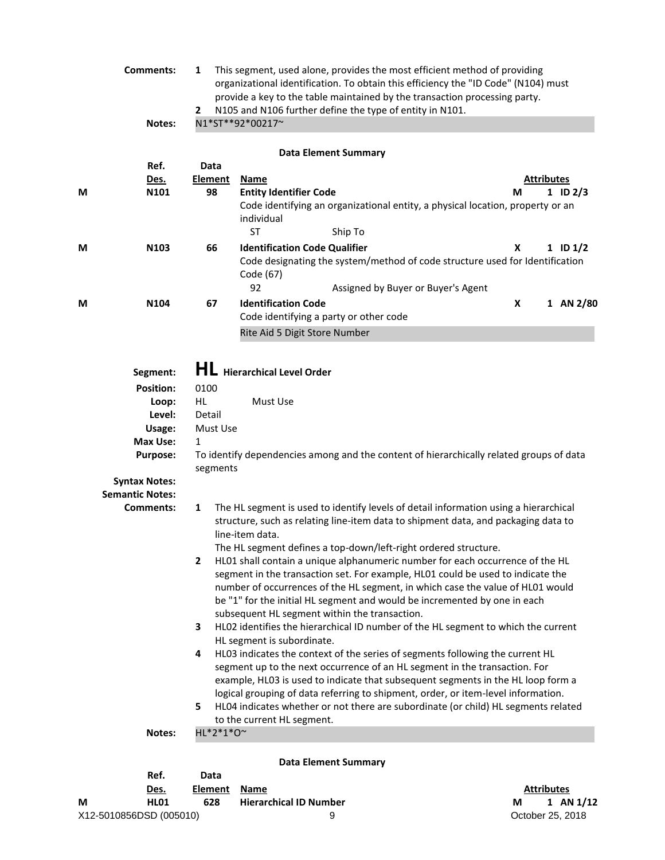|                                                                                                                                                                                                                                                                                    | <b>Comments:</b><br>This segment, used alone, provides the most efficient method of providing<br>1<br>organizational identification. To obtain this efficiency the "ID Code" (N104) must<br>provide a key to the table maintained by the transaction processing party.<br>N105 and N106 further define the type of entity in N101.<br>2 |                                                                                                                                                                                                                                                                                                                                                                                       |                                                         |                                                                                                                                                                                                                                                                                                                                                                                                                            |   |                   |  |  |
|------------------------------------------------------------------------------------------------------------------------------------------------------------------------------------------------------------------------------------------------------------------------------------|-----------------------------------------------------------------------------------------------------------------------------------------------------------------------------------------------------------------------------------------------------------------------------------------------------------------------------------------|---------------------------------------------------------------------------------------------------------------------------------------------------------------------------------------------------------------------------------------------------------------------------------------------------------------------------------------------------------------------------------------|---------------------------------------------------------|----------------------------------------------------------------------------------------------------------------------------------------------------------------------------------------------------------------------------------------------------------------------------------------------------------------------------------------------------------------------------------------------------------------------------|---|-------------------|--|--|
|                                                                                                                                                                                                                                                                                    | Notes:                                                                                                                                                                                                                                                                                                                                  |                                                                                                                                                                                                                                                                                                                                                                                       | N1*ST**92*00217~                                        |                                                                                                                                                                                                                                                                                                                                                                                                                            |   |                   |  |  |
|                                                                                                                                                                                                                                                                                    |                                                                                                                                                                                                                                                                                                                                         |                                                                                                                                                                                                                                                                                                                                                                                       |                                                         | <b>Data Element Summary</b>                                                                                                                                                                                                                                                                                                                                                                                                |   |                   |  |  |
|                                                                                                                                                                                                                                                                                    | Ref.                                                                                                                                                                                                                                                                                                                                    | Data                                                                                                                                                                                                                                                                                                                                                                                  |                                                         |                                                                                                                                                                                                                                                                                                                                                                                                                            |   |                   |  |  |
|                                                                                                                                                                                                                                                                                    | <u>Des.</u>                                                                                                                                                                                                                                                                                                                             | <b>Element</b>                                                                                                                                                                                                                                                                                                                                                                        | <b>Name</b>                                             |                                                                                                                                                                                                                                                                                                                                                                                                                            |   | <b>Attributes</b> |  |  |
| М                                                                                                                                                                                                                                                                                  | N101                                                                                                                                                                                                                                                                                                                                    | 98                                                                                                                                                                                                                                                                                                                                                                                    | <b>Entity Identifier Code</b>                           |                                                                                                                                                                                                                                                                                                                                                                                                                            | М | 1 ID $2/3$        |  |  |
|                                                                                                                                                                                                                                                                                    |                                                                                                                                                                                                                                                                                                                                         |                                                                                                                                                                                                                                                                                                                                                                                       |                                                         | Code identifying an organizational entity, a physical location, property or an                                                                                                                                                                                                                                                                                                                                             |   |                   |  |  |
|                                                                                                                                                                                                                                                                                    |                                                                                                                                                                                                                                                                                                                                         |                                                                                                                                                                                                                                                                                                                                                                                       | individual<br><b>ST</b>                                 |                                                                                                                                                                                                                                                                                                                                                                                                                            |   |                   |  |  |
|                                                                                                                                                                                                                                                                                    |                                                                                                                                                                                                                                                                                                                                         |                                                                                                                                                                                                                                                                                                                                                                                       |                                                         | Ship To                                                                                                                                                                                                                                                                                                                                                                                                                    |   |                   |  |  |
| М                                                                                                                                                                                                                                                                                  | N103                                                                                                                                                                                                                                                                                                                                    | 66                                                                                                                                                                                                                                                                                                                                                                                    | <b>Identification Code Qualifier</b><br>Code (67)<br>92 | Code designating the system/method of code structure used for Identification                                                                                                                                                                                                                                                                                                                                               | X | $1$ ID $1/2$      |  |  |
|                                                                                                                                                                                                                                                                                    |                                                                                                                                                                                                                                                                                                                                         |                                                                                                                                                                                                                                                                                                                                                                                       |                                                         | Assigned by Buyer or Buyer's Agent                                                                                                                                                                                                                                                                                                                                                                                         |   |                   |  |  |
| М                                                                                                                                                                                                                                                                                  | N104                                                                                                                                                                                                                                                                                                                                    | 67                                                                                                                                                                                                                                                                                                                                                                                    | <b>Identification Code</b>                              |                                                                                                                                                                                                                                                                                                                                                                                                                            | x | 1 AN 2/80         |  |  |
|                                                                                                                                                                                                                                                                                    |                                                                                                                                                                                                                                                                                                                                         |                                                                                                                                                                                                                                                                                                                                                                                       |                                                         | Code identifying a party or other code                                                                                                                                                                                                                                                                                                                                                                                     |   |                   |  |  |
|                                                                                                                                                                                                                                                                                    |                                                                                                                                                                                                                                                                                                                                         |                                                                                                                                                                                                                                                                                                                                                                                       | Rite Aid 5 Digit Store Number                           |                                                                                                                                                                                                                                                                                                                                                                                                                            |   |                   |  |  |
|                                                                                                                                                                                                                                                                                    | Level:<br>Usage:<br>Max Use:<br><b>Purpose:</b>                                                                                                                                                                                                                                                                                         | Detail<br>Must Use<br>$\mathbf{1}$<br>segments                                                                                                                                                                                                                                                                                                                                        |                                                         | To identify dependencies among and the content of hierarchically related groups of data                                                                                                                                                                                                                                                                                                                                    |   |                   |  |  |
|                                                                                                                                                                                                                                                                                    | <b>Syntax Notes:</b>                                                                                                                                                                                                                                                                                                                    |                                                                                                                                                                                                                                                                                                                                                                                       |                                                         |                                                                                                                                                                                                                                                                                                                                                                                                                            |   |                   |  |  |
|                                                                                                                                                                                                                                                                                    | <b>Semantic Notes:</b>                                                                                                                                                                                                                                                                                                                  |                                                                                                                                                                                                                                                                                                                                                                                       |                                                         |                                                                                                                                                                                                                                                                                                                                                                                                                            |   |                   |  |  |
| The HL segment is used to identify levels of detail information using a hierarchical<br>Comments:<br>1<br>structure, such as relating line-item data to shipment data, and packaging data to<br>line-item data.<br>The HL segment defines a top-down/left-right ordered structure. |                                                                                                                                                                                                                                                                                                                                         |                                                                                                                                                                                                                                                                                                                                                                                       |                                                         |                                                                                                                                                                                                                                                                                                                                                                                                                            |   |                   |  |  |
|                                                                                                                                                                                                                                                                                    |                                                                                                                                                                                                                                                                                                                                         | HL01 shall contain a unique alphanumeric number for each occurrence of the HL<br>2<br>segment in the transaction set. For example, HL01 could be used to indicate the<br>number of occurrences of the HL segment, in which case the value of HL01 would<br>be "1" for the initial HL segment and would be incremented by one in each<br>subsequent HL segment within the transaction. |                                                         |                                                                                                                                                                                                                                                                                                                                                                                                                            |   |                   |  |  |
|                                                                                                                                                                                                                                                                                    |                                                                                                                                                                                                                                                                                                                                         | 3                                                                                                                                                                                                                                                                                                                                                                                     | HL segment is subordinate.                              | HL02 identifies the hierarchical ID number of the HL segment to which the current                                                                                                                                                                                                                                                                                                                                          |   |                   |  |  |
|                                                                                                                                                                                                                                                                                    |                                                                                                                                                                                                                                                                                                                                         | 4<br>5                                                                                                                                                                                                                                                                                                                                                                                | to the current HL segment.                              | HL03 indicates the context of the series of segments following the current HL<br>segment up to the next occurrence of an HL segment in the transaction. For<br>example, HL03 is used to indicate that subsequent segments in the HL loop form a<br>logical grouping of data referring to shipment, order, or item-level information.<br>HL04 indicates whether or not there are subordinate (or child) HL segments related |   |                   |  |  |
|                                                                                                                                                                                                                                                                                    | Notes:                                                                                                                                                                                                                                                                                                                                  | HL*2*1*0~                                                                                                                                                                                                                                                                                                                                                                             |                                                         |                                                                                                                                                                                                                                                                                                                                                                                                                            |   |                   |  |  |
|                                                                                                                                                                                                                                                                                    |                                                                                                                                                                                                                                                                                                                                         |                                                                                                                                                                                                                                                                                                                                                                                       |                                                         | <b>Data Element Summary</b>                                                                                                                                                                                                                                                                                                                                                                                                |   |                   |  |  |

| Ref.                    |      | Data           |                               |                   |
|-------------------------|------|----------------|-------------------------------|-------------------|
|                         | Des. | <b>Element</b> | Name                          | <b>Attributes</b> |
| М                       | HL01 | 628            | <b>Hierarchical ID Number</b> | 1 AN $1/12$<br>м  |
| X12-5010856DSD (005010) |      |                | Q                             | October 25, 2018  |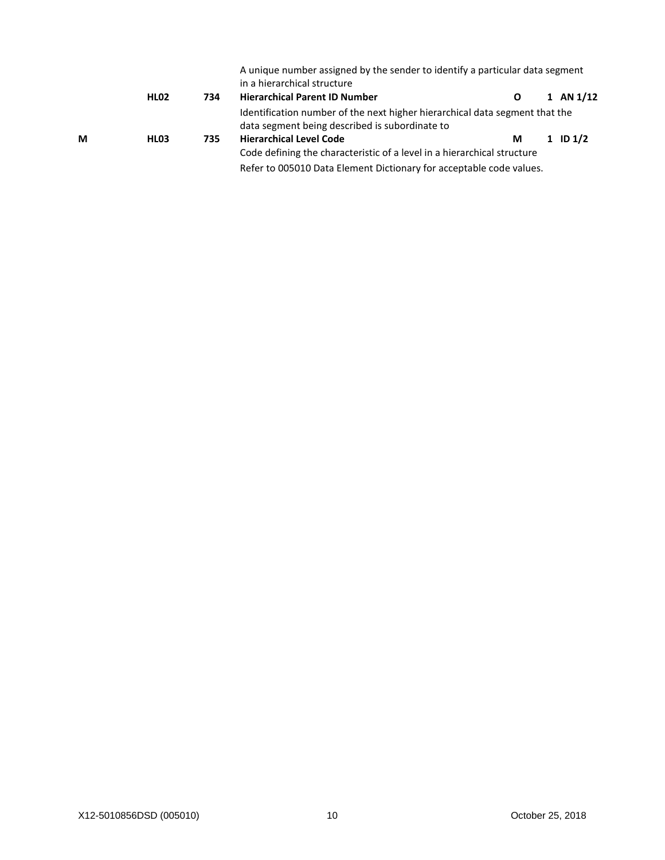|   | <b>HL02</b>      | 734 | A unique number assigned by the sender to identify a particular data segment<br>in a hierarchical structure<br><b>Hierarchical Parent ID Number</b> | O | $\mathbf{1}$ | AN 1/12      |
|---|------------------|-----|-----------------------------------------------------------------------------------------------------------------------------------------------------|---|--------------|--------------|
|   |                  |     | Identification number of the next higher hierarchical data segment that the                                                                         |   |              |              |
|   |                  |     | data segment being described is subordinate to                                                                                                      |   |              |              |
| M | HL <sub>03</sub> | 735 | <b>Hierarchical Level Code</b>                                                                                                                      | М |              | $1$ ID $1/2$ |
|   |                  |     | Code defining the characteristic of a level in a hierarchical structure                                                                             |   |              |              |
|   |                  |     | Refer to 005010 Data Element Dictionary for acceptable code values.                                                                                 |   |              |              |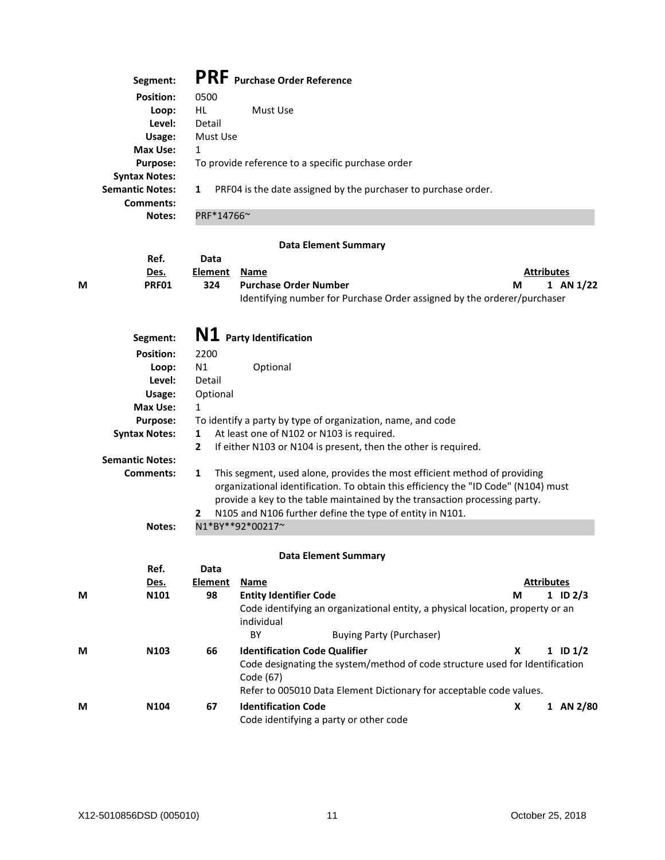| Segment:                                                    | <b>PRF</b> Purchase Order Reference                                 |
|-------------------------------------------------------------|---------------------------------------------------------------------|
| <b>Position:</b>                                            | 0500                                                                |
| Loop:                                                       | HL<br>Must Use                                                      |
| Level:                                                      | Detail                                                              |
| Usage:                                                      | Must Use                                                            |
| Max Use:                                                    | 1                                                                   |
| <b>Purpose:</b>                                             | To provide reference to a specific purchase order                   |
| <b>Syntax Notes:</b><br><b>Semantic Notes:</b><br>Comments: | PRF04 is the date assigned by the purchaser to purchase order.<br>1 |
| Notes:                                                      | PRF*14766~                                                          |

## **Data Element Summary**

|   | Ref.        | Data           |                                                                         |   |                   |
|---|-------------|----------------|-------------------------------------------------------------------------|---|-------------------|
|   | <u>Des.</u> | <b>Element</b> | Name                                                                    |   | <b>Attributes</b> |
| М | PRF01       | 324            | <b>Purchase Order Number</b>                                            | M | 1 AN 1/22         |
|   |             |                | Identifying number for Purchase Order assigned by the orderer/purchaser |   |                   |

| Segment:               | N1 Party Identification                                                                                                                                                                                                                                                                                             |  |  |  |  |
|------------------------|---------------------------------------------------------------------------------------------------------------------------------------------------------------------------------------------------------------------------------------------------------------------------------------------------------------------|--|--|--|--|
| <b>Position:</b>       | 2200                                                                                                                                                                                                                                                                                                                |  |  |  |  |
| Loop:                  | N1<br>Optional                                                                                                                                                                                                                                                                                                      |  |  |  |  |
| Level:                 | Detail                                                                                                                                                                                                                                                                                                              |  |  |  |  |
| Usage:                 | Optional                                                                                                                                                                                                                                                                                                            |  |  |  |  |
| Max Use:               | 1                                                                                                                                                                                                                                                                                                                   |  |  |  |  |
| <b>Purpose:</b>        | To identify a party by type of organization, name, and code                                                                                                                                                                                                                                                         |  |  |  |  |
| <b>Syntax Notes:</b>   | At least one of N102 or N103 is required.<br>1                                                                                                                                                                                                                                                                      |  |  |  |  |
|                        | If either N103 or N104 is present, then the other is required.<br>2                                                                                                                                                                                                                                                 |  |  |  |  |
| <b>Semantic Notes:</b> |                                                                                                                                                                                                                                                                                                                     |  |  |  |  |
| Comments:              | This segment, used alone, provides the most efficient method of providing<br>1<br>organizational identification. To obtain this efficiency the "ID Code" (N104) must<br>provide a key to the table maintained by the transaction processing party.<br>N105 and N106 further define the type of entity in N101.<br>2 |  |  |  |  |
| <b>Notes:</b>          | N1*BY**92*00217~                                                                                                                                                                                                                                                                                                    |  |  |  |  |

## **Data Element Summary**

|   | Ref.             | Data    |                               |                                                                                |   |                   |
|---|------------------|---------|-------------------------------|--------------------------------------------------------------------------------|---|-------------------|
|   | Des.             | Element | Name                          |                                                                                |   | <b>Attributes</b> |
| M | N101             | 98      | <b>Entity Identifier Code</b> |                                                                                | М | $1$ ID $2/3$      |
|   |                  |         | individual                    | Code identifying an organizational entity, a physical location, property or an |   |                   |
|   |                  |         | BY                            | <b>Buying Party (Purchaser)</b>                                                |   |                   |
| M | N <sub>103</sub> | 66      |                               | <b>Identification Code Qualifier</b>                                           | х | $1$ ID $1/2$      |
|   |                  |         | Code (67)                     | Code designating the system/method of code structure used for Identification   |   |                   |
|   |                  |         |                               | Refer to 005010 Data Element Dictionary for acceptable code values.            |   |                   |
| M | N <sub>104</sub> | 67      | <b>Identification Code</b>    | Code identifying a party or other code                                         | x | 1 AN 2/80         |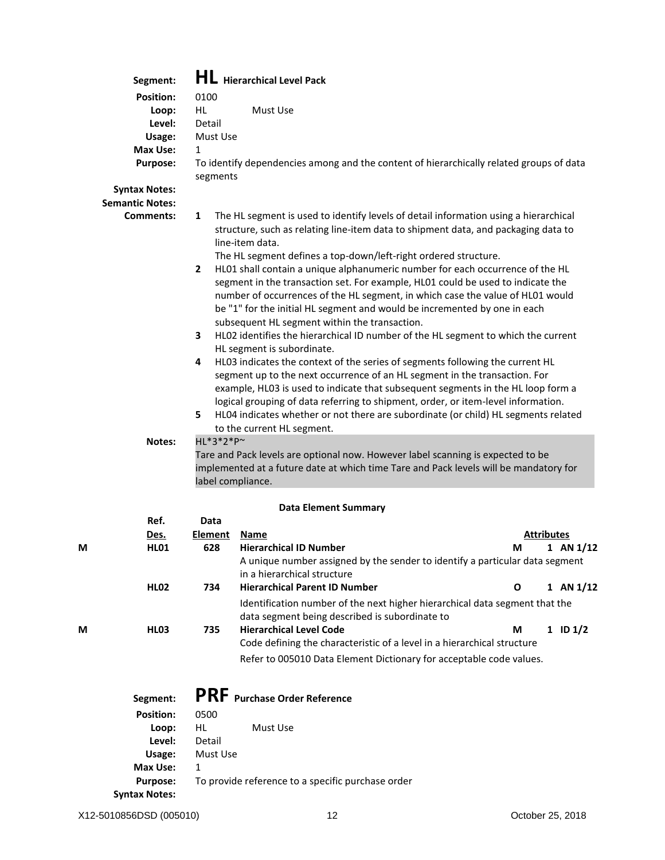|   | Segment:               |                   | <b>HL</b> Hierarchical Level Pack                                                                                                                                                                                                                                                                                                                                                                                          |                    |
|---|------------------------|-------------------|----------------------------------------------------------------------------------------------------------------------------------------------------------------------------------------------------------------------------------------------------------------------------------------------------------------------------------------------------------------------------------------------------------------------------|--------------------|
|   | <b>Position:</b>       | 0100              |                                                                                                                                                                                                                                                                                                                                                                                                                            |                    |
|   | Loop:                  | HL.               | Must Use                                                                                                                                                                                                                                                                                                                                                                                                                   |                    |
|   | Level:                 | Detail            |                                                                                                                                                                                                                                                                                                                                                                                                                            |                    |
|   | Usage:                 | Must Use          |                                                                                                                                                                                                                                                                                                                                                                                                                            |                    |
|   | Max Use:               | $\mathbf{1}$      |                                                                                                                                                                                                                                                                                                                                                                                                                            |                    |
|   | <b>Purpose:</b>        | segments          | To identify dependencies among and the content of hierarchically related groups of data                                                                                                                                                                                                                                                                                                                                    |                    |
|   | <b>Syntax Notes:</b>   |                   |                                                                                                                                                                                                                                                                                                                                                                                                                            |                    |
|   | <b>Semantic Notes:</b> |                   |                                                                                                                                                                                                                                                                                                                                                                                                                            |                    |
|   | Comments:              | 1                 | The HL segment is used to identify levels of detail information using a hierarchical                                                                                                                                                                                                                                                                                                                                       |                    |
|   |                        | $\overline{2}$    | structure, such as relating line-item data to shipment data, and packaging data to<br>line-item data.<br>The HL segment defines a top-down/left-right ordered structure.<br>HL01 shall contain a unique alphanumeric number for each occurrence of the HL                                                                                                                                                                  |                    |
|   |                        |                   | segment in the transaction set. For example, HL01 could be used to indicate the<br>number of occurrences of the HL segment, in which case the value of HL01 would<br>be "1" for the initial HL segment and would be incremented by one in each<br>subsequent HL segment within the transaction.                                                                                                                            |                    |
|   |                        | 3                 | HL02 identifies the hierarchical ID number of the HL segment to which the current<br>HL segment is subordinate.                                                                                                                                                                                                                                                                                                            |                    |
|   |                        | 4<br>5.           | HL03 indicates the context of the series of segments following the current HL<br>segment up to the next occurrence of an HL segment in the transaction. For<br>example, HL03 is used to indicate that subsequent segments in the HL loop form a<br>logical grouping of data referring to shipment, order, or item-level information.<br>HL04 indicates whether or not there are subordinate (or child) HL segments related |                    |
|   |                        |                   | to the current HL segment.                                                                                                                                                                                                                                                                                                                                                                                                 |                    |
|   | <b>Notes:</b>          | HL*3*2*P~         |                                                                                                                                                                                                                                                                                                                                                                                                                            |                    |
|   |                        | label compliance. | Tare and Pack levels are optional now. However label scanning is expected to be<br>implemented at a future date at which time Tare and Pack levels will be mandatory for                                                                                                                                                                                                                                                   |                    |
|   |                        |                   | <b>Data Element Summary</b>                                                                                                                                                                                                                                                                                                                                                                                                |                    |
|   | Ref.                   | Data              |                                                                                                                                                                                                                                                                                                                                                                                                                            |                    |
|   | Des.                   | <b>Element</b>    | <b>Name</b>                                                                                                                                                                                                                                                                                                                                                                                                                | <b>Attributes</b>  |
| М | <b>HL01</b>            | 628               | <b>Hierarchical ID Number</b><br>A unique number assigned by the sender to identify a particular data segment<br>in a hierarchical structure                                                                                                                                                                                                                                                                               | М<br>1 AN $1/12$   |
|   | <b>HL02</b>            | 734               | <b>Hierarchical Parent ID Number</b>                                                                                                                                                                                                                                                                                                                                                                                       | $1$ AN $1/12$<br>O |
| M | <b>HL03</b>            | 735               | Identification number of the next higher hierarchical data segment that the<br>data segment being described is subordinate to<br><b>Hierarchical Level Code</b>                                                                                                                                                                                                                                                            | $1$ ID $1/2$<br>М  |
|   |                        |                   | Code defining the characteristic of a level in a hierarchical structure                                                                                                                                                                                                                                                                                                                                                    |                    |
|   |                        |                   | Refer to 005010 Data Element Dictionary for acceptable code values.                                                                                                                                                                                                                                                                                                                                                        |                    |
|   |                        |                   |                                                                                                                                                                                                                                                                                                                                                                                                                            |                    |
|   | Segment:               |                   | <b>PRF</b> Purchase Order Reference                                                                                                                                                                                                                                                                                                                                                                                        |                    |
|   | <b>Position:</b>       | 0500              |                                                                                                                                                                                                                                                                                                                                                                                                                            |                    |
|   | Loop:                  | HL                | Must Use                                                                                                                                                                                                                                                                                                                                                                                                                   |                    |
|   | Level:                 | Detail            |                                                                                                                                                                                                                                                                                                                                                                                                                            |                    |
|   | Usage:                 | Must Use          |                                                                                                                                                                                                                                                                                                                                                                                                                            |                    |
|   | <b>Max Use:</b>        | $\mathbf{1}$      |                                                                                                                                                                                                                                                                                                                                                                                                                            |                    |
|   | <b>Purpose:</b>        |                   | To provide reference to a specific purchase order                                                                                                                                                                                                                                                                                                                                                                          |                    |
|   | <b>Syntax Notes:</b>   |                   |                                                                                                                                                                                                                                                                                                                                                                                                                            |                    |

| <b>Syntax Note</b> |  |
|--------------------|--|
|--------------------|--|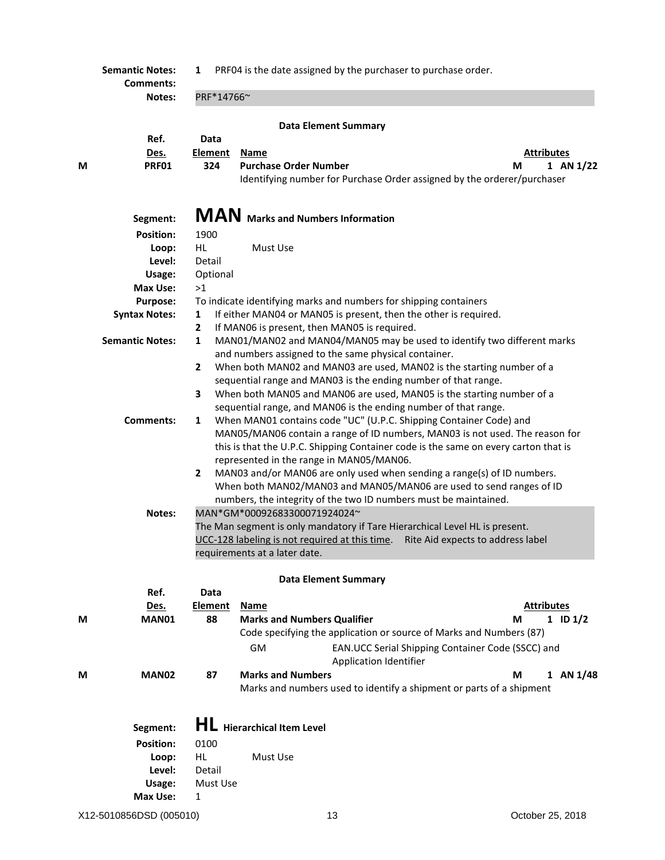**Semantic Notes: 1 PRF04** is the date assigned by the purchaser to purchase order. **Comments: Notes:** PRF\*14766~ **Data Element Summary Ref. Data Des. Element Name Attributes M PRF01 324 Purchase Order Number M 1 AN 1/22** Identifying number for Purchase Order assigned by the orderer/purchaser

|   | Segment:               |                | MAN Marks and Numbers Information                    |                             |                                                                                                                                                                                                                                           |                   |              |
|---|------------------------|----------------|------------------------------------------------------|-----------------------------|-------------------------------------------------------------------------------------------------------------------------------------------------------------------------------------------------------------------------------------------|-------------------|--------------|
|   | <b>Position:</b>       | 1900           |                                                      |                             |                                                                                                                                                                                                                                           |                   |              |
|   | Loop:                  | HL.            | Must Use                                             |                             |                                                                                                                                                                                                                                           |                   |              |
|   | Level:                 | Detail         |                                                      |                             |                                                                                                                                                                                                                                           |                   |              |
|   | Usage:                 | Optional       |                                                      |                             |                                                                                                                                                                                                                                           |                   |              |
|   | Max Use:               | >1             |                                                      |                             |                                                                                                                                                                                                                                           |                   |              |
|   | <b>Purpose:</b>        |                |                                                      |                             | To indicate identifying marks and numbers for shipping containers                                                                                                                                                                         |                   |              |
|   | <b>Syntax Notes:</b>   | 1              |                                                      |                             | If either MAN04 or MAN05 is present, then the other is required.                                                                                                                                                                          |                   |              |
|   |                        | $\mathbf{2}$   | If MAN06 is present, then MAN05 is required.         |                             |                                                                                                                                                                                                                                           |                   |              |
|   | <b>Semantic Notes:</b> | 1              | and numbers assigned to the same physical container. |                             | MAN01/MAN02 and MAN04/MAN05 may be used to identify two different marks                                                                                                                                                                   |                   |              |
|   |                        | $\mathbf{2}$   |                                                      |                             | When both MAN02 and MAN03 are used, MAN02 is the starting number of a<br>sequential range and MAN03 is the ending number of that range.                                                                                                   |                   |              |
|   |                        | 3              |                                                      |                             | When both MAN05 and MAN06 are used, MAN05 is the starting number of a<br>sequential range, and MAN06 is the ending number of that range.                                                                                                  |                   |              |
|   | Comments:              | 1              | represented in the range in MAN05/MAN06.             |                             | When MAN01 contains code "UC" (U.P.C. Shipping Container Code) and<br>MAN05/MAN06 contain a range of ID numbers, MAN03 is not used. The reason for<br>this is that the U.P.C. Shipping Container code is the same on every carton that is |                   |              |
|   | Notes:                 | $\mathbf{2}$   | MAN*GM*00092683300071924024~                         |                             | MAN03 and/or MAN06 are only used when sending a range(s) of ID numbers.<br>When both MAN02/MAN03 and MAN05/MAN06 are used to send ranges of ID<br>numbers, the integrity of the two ID numbers must be maintained.                        |                   |              |
|   |                        |                | requirements at a later date.                        |                             | The Man segment is only mandatory if Tare Hierarchical Level HL is present.<br>UCC-128 labeling is not required at this time. Rite Aid expects to address label                                                                           |                   |              |
|   |                        |                |                                                      | <b>Data Element Summary</b> |                                                                                                                                                                                                                                           |                   |              |
|   | Ref.                   | Data           |                                                      |                             |                                                                                                                                                                                                                                           |                   |              |
|   | Des.                   | <b>Element</b> | <b>Name</b>                                          |                             |                                                                                                                                                                                                                                           | <b>Attributes</b> |              |
| М | MAN01                  | 88             | <b>Marks and Numbers Qualifier</b>                   |                             |                                                                                                                                                                                                                                           | м                 | $1$ ID $1/2$ |
|   |                        |                |                                                      |                             | Code specifying the application or source of Marks and Numbers (87)                                                                                                                                                                       |                   |              |
|   |                        |                | GM                                                   | Application Identifier      | EAN.UCC Serial Shipping Container Code (SSCC) and                                                                                                                                                                                         |                   |              |
| М | <b>MAN02</b>           | 87             | <b>Marks and Numbers</b>                             |                             |                                                                                                                                                                                                                                           | М                 | 1 AN 1/48    |
|   |                        |                |                                                      |                             | Marks and numbers used to identify a shipment or parts of a shipment                                                                                                                                                                      |                   |              |
|   | Segment:               |                | <b>HL</b> Hierarchical Item Level                    |                             |                                                                                                                                                                                                                                           |                   |              |

| <b>Position:</b> | 0100     |          |
|------------------|----------|----------|
| Loop:            | HL       | Must Use |
| Level:           | Detail   |          |
| Usage:           | Must Use |          |
| Max Use:         | 1        |          |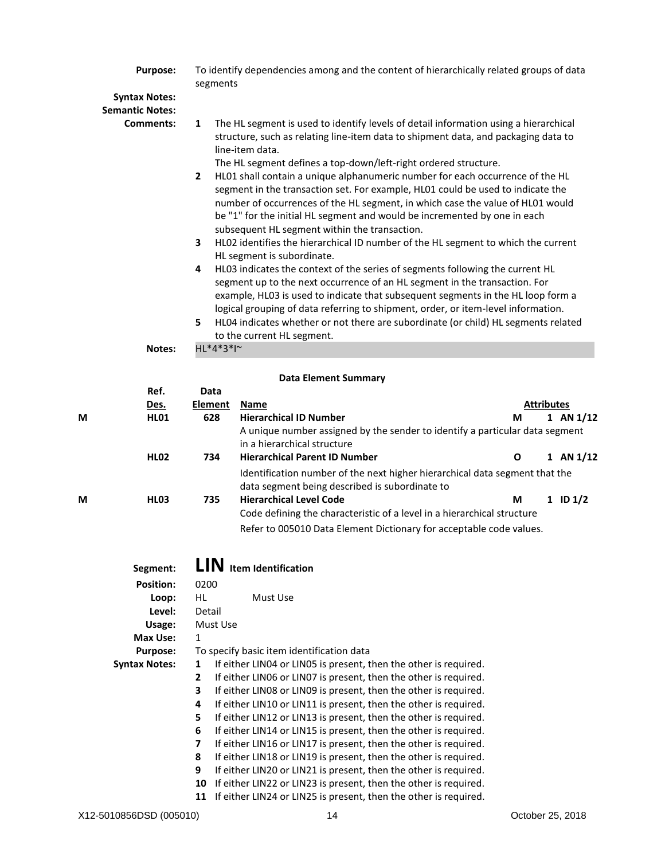|   | <b>Purpose:</b><br><b>Syntax Notes:</b>    | segments              | To identify dependencies among and the content of hierarchically related groups of data                                                                                                                                                                                                                                                                                                                                                                                                                                                                                                                                                                                                                                                                                                                                                                                                                                                                                                                                                                                                                                                                                                               |                   |              |
|---|--------------------------------------------|-----------------------|-------------------------------------------------------------------------------------------------------------------------------------------------------------------------------------------------------------------------------------------------------------------------------------------------------------------------------------------------------------------------------------------------------------------------------------------------------------------------------------------------------------------------------------------------------------------------------------------------------------------------------------------------------------------------------------------------------------------------------------------------------------------------------------------------------------------------------------------------------------------------------------------------------------------------------------------------------------------------------------------------------------------------------------------------------------------------------------------------------------------------------------------------------------------------------------------------------|-------------------|--------------|
|   | <b>Semantic Notes:</b><br><b>Comments:</b> | 1<br>2<br>3<br>4<br>5 | The HL segment is used to identify levels of detail information using a hierarchical<br>structure, such as relating line-item data to shipment data, and packaging data to<br>line-item data.<br>The HL segment defines a top-down/left-right ordered structure.<br>HL01 shall contain a unique alphanumeric number for each occurrence of the HL<br>segment in the transaction set. For example, HL01 could be used to indicate the<br>number of occurrences of the HL segment, in which case the value of HL01 would<br>be "1" for the initial HL segment and would be incremented by one in each<br>subsequent HL segment within the transaction.<br>HL02 identifies the hierarchical ID number of the HL segment to which the current<br>HL segment is subordinate.<br>HL03 indicates the context of the series of segments following the current HL<br>segment up to the next occurrence of an HL segment in the transaction. For<br>example, HL03 is used to indicate that subsequent segments in the HL loop form a<br>logical grouping of data referring to shipment, order, or item-level information.<br>HL04 indicates whether or not there are subordinate (or child) HL segments related |                   |              |
|   | Notes:                                     | HL*4*3*I~             | to the current HL segment.                                                                                                                                                                                                                                                                                                                                                                                                                                                                                                                                                                                                                                                                                                                                                                                                                                                                                                                                                                                                                                                                                                                                                                            |                   |              |
|   |                                            |                       |                                                                                                                                                                                                                                                                                                                                                                                                                                                                                                                                                                                                                                                                                                                                                                                                                                                                                                                                                                                                                                                                                                                                                                                                       |                   |              |
|   |                                            |                       | <b>Data Element Summary</b>                                                                                                                                                                                                                                                                                                                                                                                                                                                                                                                                                                                                                                                                                                                                                                                                                                                                                                                                                                                                                                                                                                                                                                           |                   |              |
|   | Ref.                                       | Data                  |                                                                                                                                                                                                                                                                                                                                                                                                                                                                                                                                                                                                                                                                                                                                                                                                                                                                                                                                                                                                                                                                                                                                                                                                       |                   |              |
|   | Des.                                       | <b>Element</b>        | <b>Name</b>                                                                                                                                                                                                                                                                                                                                                                                                                                                                                                                                                                                                                                                                                                                                                                                                                                                                                                                                                                                                                                                                                                                                                                                           | <b>Attributes</b> |              |
| M | <b>HL01</b>                                | 628                   | <b>Hierarchical ID Number</b><br>A unique number assigned by the sender to identify a particular data segment<br>in a hierarchical structure                                                                                                                                                                                                                                                                                                                                                                                                                                                                                                                                                                                                                                                                                                                                                                                                                                                                                                                                                                                                                                                          | М                 | 1 AN $1/12$  |
|   | <b>HL02</b>                                | 734                   | <b>Hierarchical Parent ID Number</b>                                                                                                                                                                                                                                                                                                                                                                                                                                                                                                                                                                                                                                                                                                                                                                                                                                                                                                                                                                                                                                                                                                                                                                  | 0                 | 1 AN $1/12$  |
|   |                                            |                       | Identification number of the next higher hierarchical data segment that the<br>data segment being described is subordinate to                                                                                                                                                                                                                                                                                                                                                                                                                                                                                                                                                                                                                                                                                                                                                                                                                                                                                                                                                                                                                                                                         |                   |              |
| М | <b>HL03</b>                                | 735                   | <b>Hierarchical Level Code</b><br>Code defining the characteristic of a level in a hierarchical structure<br>Refer to 005010 Data Element Dictionary for acceptable code values.                                                                                                                                                                                                                                                                                                                                                                                                                                                                                                                                                                                                                                                                                                                                                                                                                                                                                                                                                                                                                      | М                 | $1$ ID $1/2$ |
|   | Segment:                                   |                       | LIN Item Identification                                                                                                                                                                                                                                                                                                                                                                                                                                                                                                                                                                                                                                                                                                                                                                                                                                                                                                                                                                                                                                                                                                                                                                               |                   |              |
|   | <b>Position:</b>                           | 0200                  |                                                                                                                                                                                                                                                                                                                                                                                                                                                                                                                                                                                                                                                                                                                                                                                                                                                                                                                                                                                                                                                                                                                                                                                                       |                   |              |
|   | Loop:                                      | <b>HL</b>             | Must Use                                                                                                                                                                                                                                                                                                                                                                                                                                                                                                                                                                                                                                                                                                                                                                                                                                                                                                                                                                                                                                                                                                                                                                                              |                   |              |
|   | Level:                                     | Detail                |                                                                                                                                                                                                                                                                                                                                                                                                                                                                                                                                                                                                                                                                                                                                                                                                                                                                                                                                                                                                                                                                                                                                                                                                       |                   |              |
|   | Usage:                                     | Must Use              |                                                                                                                                                                                                                                                                                                                                                                                                                                                                                                                                                                                                                                                                                                                                                                                                                                                                                                                                                                                                                                                                                                                                                                                                       |                   |              |
|   | Max Use:                                   | $\mathbf{1}$          |                                                                                                                                                                                                                                                                                                                                                                                                                                                                                                                                                                                                                                                                                                                                                                                                                                                                                                                                                                                                                                                                                                                                                                                                       |                   |              |
|   | <b>Purpose:</b>                            |                       | To specify basic item identification data                                                                                                                                                                                                                                                                                                                                                                                                                                                                                                                                                                                                                                                                                                                                                                                                                                                                                                                                                                                                                                                                                                                                                             |                   |              |
|   | <b>Syntax Notes:</b>                       | 1                     | If either LIN04 or LIN05 is present, then the other is required.                                                                                                                                                                                                                                                                                                                                                                                                                                                                                                                                                                                                                                                                                                                                                                                                                                                                                                                                                                                                                                                                                                                                      |                   |              |
|   |                                            | 2                     | If either LIN06 or LIN07 is present, then the other is required.                                                                                                                                                                                                                                                                                                                                                                                                                                                                                                                                                                                                                                                                                                                                                                                                                                                                                                                                                                                                                                                                                                                                      |                   |              |
|   |                                            | 3                     | If either LIN08 or LIN09 is present, then the other is required.                                                                                                                                                                                                                                                                                                                                                                                                                                                                                                                                                                                                                                                                                                                                                                                                                                                                                                                                                                                                                                                                                                                                      |                   |              |

**4** If either LIN10 or LIN11 is present, then the other is required.

**5** If either LIN12 or LIN13 is present, then the other is required.

**6** If either LIN14 or LIN15 is present, then the other is required.

**7** If either LIN16 or LIN17 is present, then the other is required.

**8** If either LIN18 or LIN19 is present, then the other is required. **9** If either LIN20 or LIN21 is present, then the other is required.

**10** If either LIN22 or LIN23 is present, then the other is required.

**11** If either LIN24 or LIN25 is present, then the other is required.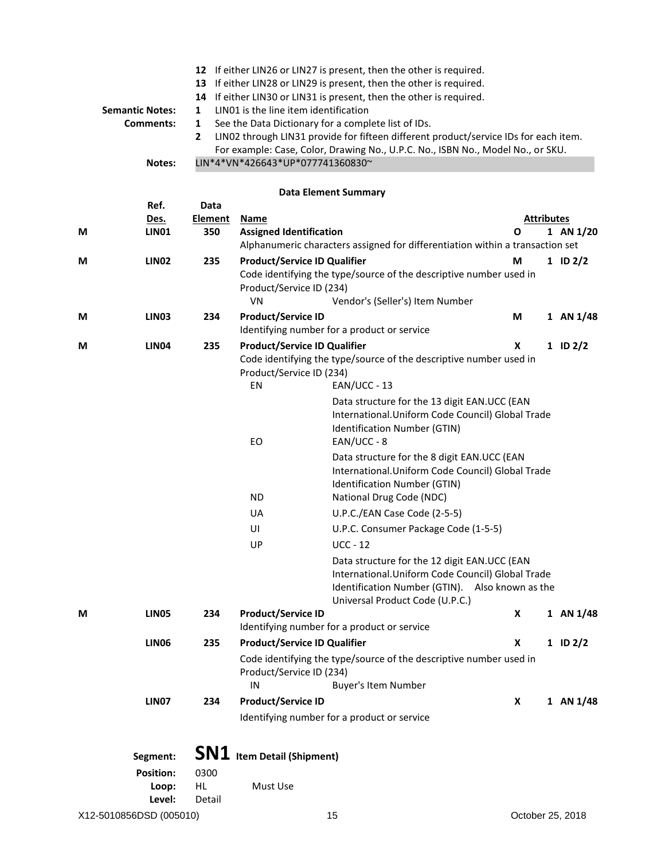|   |                         |                       |                                               | 12 If either LIN26 or LIN27 is present, then the other is required.                                                                                                     |                  |                   |                  |
|---|-------------------------|-----------------------|-----------------------------------------------|-------------------------------------------------------------------------------------------------------------------------------------------------------------------------|------------------|-------------------|------------------|
|   |                         |                       |                                               | 13 If either LIN28 or LIN29 is present, then the other is required.                                                                                                     |                  |                   |                  |
|   |                         | 14                    |                                               | If either LIN30 or LIN31 is present, then the other is required.                                                                                                        |                  |                   |                  |
|   | <b>Semantic Notes:</b>  | 1                     | LIN01 is the line item identification         |                                                                                                                                                                         |                  |                   |                  |
|   | <b>Comments:</b>        | 1                     |                                               | See the Data Dictionary for a complete list of IDs.                                                                                                                     |                  |                   |                  |
|   |                         | 2                     |                                               | LIN02 through LIN31 provide for fifteen different product/service IDs for each item.<br>For example: Case, Color, Drawing No., U.P.C. No., ISBN No., Model No., or SKU. |                  |                   |                  |
|   | Notes:                  |                       | LIN*4*VN*426643*UP*077741360830~              |                                                                                                                                                                         |                  |                   |                  |
|   |                         |                       |                                               |                                                                                                                                                                         |                  |                   |                  |
|   |                         |                       |                                               | <b>Data Element Summary</b>                                                                                                                                             |                  |                   |                  |
|   | Ref.                    | Data                  |                                               |                                                                                                                                                                         |                  | <b>Attributes</b> |                  |
| М | Des.<br><b>LIN01</b>    | <b>Element</b><br>350 | <b>Name</b><br><b>Assigned Identification</b> |                                                                                                                                                                         | O                |                   | 1 AN 1/20        |
|   |                         |                       |                                               | Alphanumeric characters assigned for differentiation within a transaction set                                                                                           |                  |                   |                  |
| М | LIN <sub>02</sub>       | 235                   | <b>Product/Service ID Qualifier</b>           |                                                                                                                                                                         | М                |                   | $1$ ID $2/2$     |
|   |                         |                       |                                               | Code identifying the type/source of the descriptive number used in                                                                                                      |                  |                   |                  |
|   |                         |                       | Product/Service ID (234)                      |                                                                                                                                                                         |                  |                   |                  |
|   |                         |                       | VN                                            | Vendor's (Seller's) Item Number                                                                                                                                         |                  |                   |                  |
| М | LIN <sub>03</sub>       | 234                   | <b>Product/Service ID</b>                     |                                                                                                                                                                         | M                |                   | 1 AN 1/48        |
|   |                         |                       |                                               | Identifying number for a product or service                                                                                                                             |                  |                   |                  |
| М | <b>LIN04</b>            | 235                   | <b>Product/Service ID Qualifier</b>           |                                                                                                                                                                         | X                |                   | $1$ ID $2/2$     |
|   |                         |                       |                                               | Code identifying the type/source of the descriptive number used in                                                                                                      |                  |                   |                  |
|   |                         |                       | Product/Service ID (234)                      |                                                                                                                                                                         |                  |                   |                  |
|   |                         |                       | EN                                            | $EAN/UCC - 13$                                                                                                                                                          |                  |                   |                  |
|   |                         |                       |                                               | Data structure for the 13 digit EAN.UCC (EAN                                                                                                                            |                  |                   |                  |
|   |                         |                       |                                               | International. Uniform Code Council) Global Trade                                                                                                                       |                  |                   |                  |
|   |                         |                       | EO                                            | Identification Number (GTIN)<br>$EAN/UCC - 8$                                                                                                                           |                  |                   |                  |
|   |                         |                       |                                               | Data structure for the 8 digit EAN.UCC (EAN                                                                                                                             |                  |                   |                  |
|   |                         |                       |                                               | International.Uniform Code Council) Global Trade                                                                                                                        |                  |                   |                  |
|   |                         |                       |                                               | Identification Number (GTIN)                                                                                                                                            |                  |                   |                  |
|   |                         |                       | <b>ND</b>                                     | National Drug Code (NDC)                                                                                                                                                |                  |                   |                  |
|   |                         |                       | UA                                            | U.P.C./EAN Case Code (2-5-5)                                                                                                                                            |                  |                   |                  |
|   |                         |                       | UI                                            | U.P.C. Consumer Package Code (1-5-5)                                                                                                                                    |                  |                   |                  |
|   |                         |                       | UP                                            | $UCC - 12$                                                                                                                                                              |                  |                   |                  |
|   |                         |                       |                                               | Data structure for the 12 digit EAN.UCC (EAN                                                                                                                            |                  |                   |                  |
|   |                         |                       |                                               | International. Uniform Code Council) Global Trade                                                                                                                       |                  |                   |                  |
|   |                         |                       |                                               | Identification Number (GTIN). Also known as the                                                                                                                         |                  |                   |                  |
|   |                         |                       |                                               | Universal Product Code (U.P.C.)                                                                                                                                         |                  |                   |                  |
| М | <b>LIN05</b>            | 234                   | <b>Product/Service ID</b>                     |                                                                                                                                                                         | X                |                   | 1 AN 1/48        |
|   |                         |                       |                                               | Identifying number for a product or service                                                                                                                             |                  |                   |                  |
|   | <b>LIN06</b>            | 235                   | <b>Product/Service ID Qualifier</b>           |                                                                                                                                                                         | X                |                   | $1$ ID $2/2$     |
|   |                         |                       |                                               | Code identifying the type/source of the descriptive number used in                                                                                                      |                  |                   |                  |
|   |                         |                       | Product/Service ID (234)<br>IN                | <b>Buyer's Item Number</b>                                                                                                                                              |                  |                   |                  |
|   | LIN07                   | 234                   | <b>Product/Service ID</b>                     |                                                                                                                                                                         | $\boldsymbol{x}$ |                   | 1 AN $1/48$      |
|   |                         |                       |                                               |                                                                                                                                                                         |                  |                   |                  |
|   |                         |                       |                                               | Identifying number for a product or service                                                                                                                             |                  |                   |                  |
|   | Segment:                |                       | <b>SN1</b> Item Detail (Shipment)             |                                                                                                                                                                         |                  |                   |                  |
|   | <b>Position:</b>        | 0300                  |                                               |                                                                                                                                                                         |                  |                   |                  |
|   | Loop:                   | HL.                   | Must Use                                      |                                                                                                                                                                         |                  |                   |                  |
|   | Level:                  | Detail                |                                               |                                                                                                                                                                         |                  |                   |                  |
|   | X12-5010856DSD (005010) |                       |                                               | 15                                                                                                                                                                      |                  |                   | October 25, 2018 |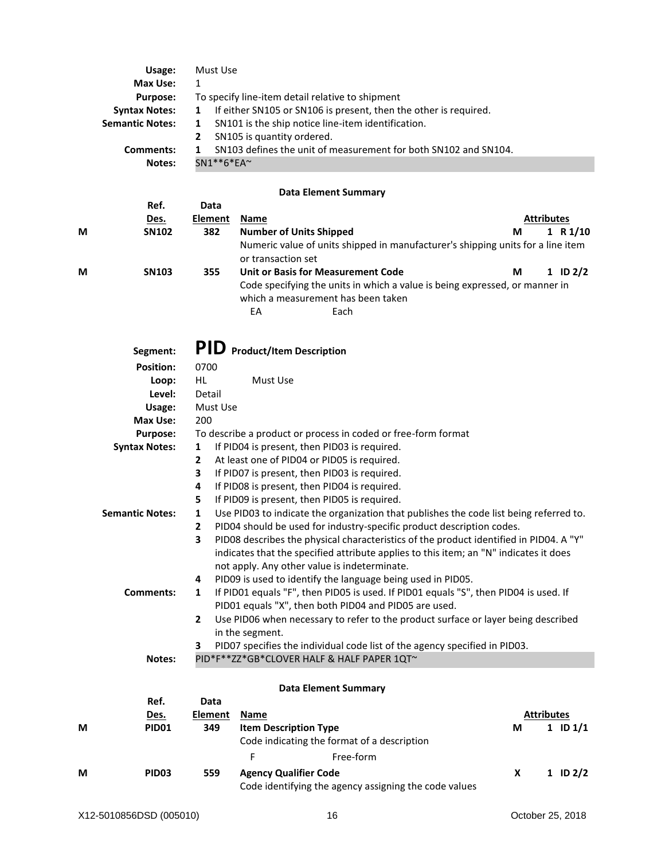| Max Use:                                                                                                 |  |
|----------------------------------------------------------------------------------------------------------|--|
| To specify line-item detail relative to shipment<br><b>Purpose:</b>                                      |  |
| If either SN105 or SN106 is present, then the other is required.<br><b>Syntax Notes:</b><br>$\mathbf{1}$ |  |
| SN101 is the ship notice line-item identification.<br><b>Semantic Notes:</b><br>1                        |  |
| SN105 is quantity ordered.<br>$\mathbf{2}$                                                               |  |
| SN103 defines the unit of measurement for both SN102 and SN104.<br>Comments:                             |  |
| $SN1**6*FA*$<br>Notes:                                                                                   |  |

## **Data Element Summary**

|   | Ref.<br>Des. | Data<br>Element | Name                                                                                                                            |   | <b>Attributes</b> |
|---|--------------|-----------------|---------------------------------------------------------------------------------------------------------------------------------|---|-------------------|
| M | <b>SN102</b> | 382             | <b>Number of Units Shipped</b>                                                                                                  | М | 1 R1/10           |
|   |              |                 | Numeric value of units shipped in manufacturer's shipping units for a line item<br>or transaction set                           |   |                   |
| M | <b>SN103</b> | 355             | Unit or Basis for Measurement Code                                                                                              | М | $1$ ID $2/2$      |
|   |              |                 | Code specifying the units in which a value is being expressed, or manner in<br>which a measurement has been taken<br>Each<br>EA |   |                   |

|   | Segment:               |                                                                                             | PID Product/Item Description                                                                  |                                                                                        |  |  |  |
|---|------------------------|---------------------------------------------------------------------------------------------|-----------------------------------------------------------------------------------------------|----------------------------------------------------------------------------------------|--|--|--|
|   | <b>Position:</b>       | 0700                                                                                        |                                                                                               |                                                                                        |  |  |  |
|   | Loop:                  | HL.                                                                                         | Must Use                                                                                      |                                                                                        |  |  |  |
|   | Level:                 | Detail                                                                                      |                                                                                               |                                                                                        |  |  |  |
|   | Usage:                 | Must Use                                                                                    |                                                                                               |                                                                                        |  |  |  |
|   | Max Use:               | 200                                                                                         |                                                                                               |                                                                                        |  |  |  |
|   | <b>Purpose:</b>        |                                                                                             | To describe a product or process in coded or free-form format                                 |                                                                                        |  |  |  |
|   | <b>Syntax Notes:</b>   | $\mathbf{1}$                                                                                | If PID04 is present, then PID03 is required.                                                  |                                                                                        |  |  |  |
|   |                        | $\overline{2}$                                                                              | At least one of PID04 or PID05 is required.                                                   |                                                                                        |  |  |  |
|   |                        | 3                                                                                           | If PID07 is present, then PID03 is required.                                                  |                                                                                        |  |  |  |
|   |                        | 4                                                                                           | If PID08 is present, then PID04 is required.                                                  |                                                                                        |  |  |  |
|   |                        | 5                                                                                           | If PID09 is present, then PID05 is required.                                                  |                                                                                        |  |  |  |
|   | <b>Semantic Notes:</b> | Use PID03 to indicate the organization that publishes the code list being referred to.<br>1 |                                                                                               |                                                                                        |  |  |  |
|   |                        | $\overline{2}$                                                                              | PID04 should be used for industry-specific product description codes.                         |                                                                                        |  |  |  |
|   |                        | 3                                                                                           |                                                                                               | PID08 describes the physical characteristics of the product identified in PID04. A "Y" |  |  |  |
|   |                        |                                                                                             | indicates that the specified attribute applies to this item; an "N" indicates it does         |                                                                                        |  |  |  |
|   |                        |                                                                                             | not apply. Any other value is indeterminate.                                                  |                                                                                        |  |  |  |
|   |                        | 4                                                                                           | PID09 is used to identify the language being used in PID05.                                   |                                                                                        |  |  |  |
|   | Comments:              | 1                                                                                           | If PID01 equals "F", then PID05 is used. If PID01 equals "S", then PID04 is used. If          |                                                                                        |  |  |  |
|   |                        |                                                                                             | PID01 equals "X", then both PID04 and PID05 are used.                                         |                                                                                        |  |  |  |
|   |                        | $\overline{2}$                                                                              | Use PID06 when necessary to refer to the product surface or layer being described             |                                                                                        |  |  |  |
|   |                        | 3                                                                                           | in the segment.<br>PID07 specifies the individual code list of the agency specified in PID03. |                                                                                        |  |  |  |
|   | Notes:                 |                                                                                             | PID*F**ZZ*GB*CLOVER HALF & HALF PAPER 1QT~                                                    |                                                                                        |  |  |  |
|   |                        |                                                                                             |                                                                                               |                                                                                        |  |  |  |
|   |                        |                                                                                             | <b>Data Element Summary</b>                                                                   |                                                                                        |  |  |  |
|   | Ref.                   | Data                                                                                        |                                                                                               |                                                                                        |  |  |  |
|   | Des.                   | <b>Element</b>                                                                              | Name                                                                                          | <b>Attributes</b>                                                                      |  |  |  |
| M | <b>PID01</b>           | 349                                                                                         | <b>Item Description Type</b>                                                                  | 1 ID $1/1$<br>М                                                                        |  |  |  |

| . | .                 | --  | 155111 253511 251011 1725    |                                                       | <br>- - - -  |
|---|-------------------|-----|------------------------------|-------------------------------------------------------|--------------|
|   |                   |     |                              | Code indicating the format of a description           |              |
|   |                   |     |                              | Free-form                                             |              |
| M | PID <sub>03</sub> | 559 | <b>Agency Qualifier Code</b> | Code identifying the agency assigning the code values | $1$ ID $2/2$ |
|   |                   |     |                              |                                                       |              |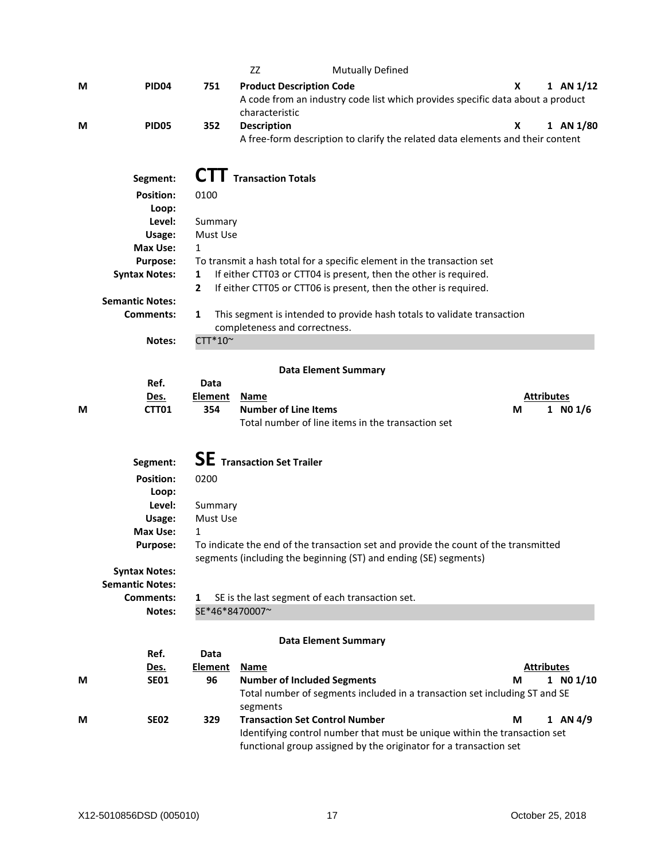|   |                        |                | ZZ                                |                                    | <b>Mutually Defined</b>                                          |                                                                                     |    |                   |
|---|------------------------|----------------|-----------------------------------|------------------------------------|------------------------------------------------------------------|-------------------------------------------------------------------------------------|----|-------------------|
| М | PID <sub>04</sub>      | 751            |                                   | <b>Product Description Code</b>    |                                                                  |                                                                                     | x. | 1 AN $1/12$       |
|   |                        |                |                                   |                                    |                                                                  | A code from an industry code list which provides specific data about a product      |    |                   |
|   |                        |                | characteristic                    |                                    |                                                                  |                                                                                     |    |                   |
| М | <b>PID05</b>           | 352            | <b>Description</b>                |                                    |                                                                  |                                                                                     | X  | 1 AN $1/80$       |
|   |                        |                |                                   |                                    |                                                                  | A free-form description to clarify the related data elements and their content      |    |                   |
|   |                        |                |                                   |                                    |                                                                  |                                                                                     |    |                   |
|   |                        |                |                                   |                                    |                                                                  |                                                                                     |    |                   |
|   | Segment:               |                | <b>CTT</b> Transaction Totals     |                                    |                                                                  |                                                                                     |    |                   |
|   | <b>Position:</b>       | 0100           |                                   |                                    |                                                                  |                                                                                     |    |                   |
|   | Loop:                  |                |                                   |                                    |                                                                  |                                                                                     |    |                   |
|   | Level:                 | Summary        |                                   |                                    |                                                                  |                                                                                     |    |                   |
|   | Usage:                 | Must Use       |                                   |                                    |                                                                  |                                                                                     |    |                   |
|   | Max Use:               | 1              |                                   |                                    |                                                                  |                                                                                     |    |                   |
|   | <b>Purpose:</b>        |                |                                   |                                    |                                                                  | To transmit a hash total for a specific element in the transaction set              |    |                   |
|   | <b>Syntax Notes:</b>   | 1              |                                   |                                    |                                                                  | If either CTT03 or CTT04 is present, then the other is required.                    |    |                   |
|   |                        | $\mathbf{2}$   |                                   |                                    |                                                                  | If either CTT05 or CTT06 is present, then the other is required.                    |    |                   |
|   | <b>Semantic Notes:</b> |                |                                   |                                    |                                                                  |                                                                                     |    |                   |
|   | Comments:              | 1              |                                   |                                    |                                                                  | This segment is intended to provide hash totals to validate transaction             |    |                   |
|   |                        |                |                                   | completeness and correctness.      |                                                                  |                                                                                     |    |                   |
|   | Notes:                 | CTT*10~        |                                   |                                    |                                                                  |                                                                                     |    |                   |
|   |                        |                |                                   |                                    |                                                                  |                                                                                     |    |                   |
|   |                        |                |                                   |                                    | <b>Data Element Summary</b>                                      |                                                                                     |    |                   |
|   | Ref.                   | Data           |                                   |                                    |                                                                  |                                                                                     |    |                   |
|   | Des.                   | <b>Element</b> | <b>Name</b>                       |                                    |                                                                  |                                                                                     |    | <b>Attributes</b> |
| М | CTT01                  | 354            |                                   | <b>Number of Line Items</b>        |                                                                  |                                                                                     | М  | 1 NO $1/6$        |
|   |                        |                |                                   |                                    | Total number of line items in the transaction set                |                                                                                     |    |                   |
|   |                        |                |                                   |                                    |                                                                  |                                                                                     |    |                   |
|   |                        |                | <b>SE</b> Transaction Set Trailer |                                    |                                                                  |                                                                                     |    |                   |
|   | Segment:               |                |                                   |                                    |                                                                  |                                                                                     |    |                   |
|   | <b>Position:</b>       | 0200           |                                   |                                    |                                                                  |                                                                                     |    |                   |
|   | Loop:                  |                |                                   |                                    |                                                                  |                                                                                     |    |                   |
|   | Level:                 | Summary        |                                   |                                    |                                                                  |                                                                                     |    |                   |
|   | Usage:                 | Must Use       |                                   |                                    |                                                                  |                                                                                     |    |                   |
|   | Max Use:               | $\mathbf{1}$   |                                   |                                    |                                                                  |                                                                                     |    |                   |
|   | <b>Purpose:</b>        |                |                                   |                                    |                                                                  | To indicate the end of the transaction set and provide the count of the transmitted |    |                   |
|   |                        |                |                                   |                                    | segments (including the beginning (ST) and ending (SE) segments) |                                                                                     |    |                   |
|   | <b>Syntax Notes:</b>   |                |                                   |                                    |                                                                  |                                                                                     |    |                   |
|   | <b>Semantic Notes:</b> |                |                                   |                                    |                                                                  |                                                                                     |    |                   |
|   | Comments:              | 1              |                                   |                                    | SE is the last segment of each transaction set.                  |                                                                                     |    |                   |
|   | Notes:                 | SE*46*8470007~ |                                   |                                    |                                                                  |                                                                                     |    |                   |
|   |                        |                |                                   |                                    |                                                                  |                                                                                     |    |                   |
|   |                        |                |                                   |                                    | <b>Data Element Summary</b>                                      |                                                                                     |    |                   |
|   | Ref.                   | Data           |                                   |                                    |                                                                  |                                                                                     |    |                   |
|   | <u>Des.</u>            | <b>Element</b> | <u>Name</u>                       |                                    |                                                                  |                                                                                     |    | <b>Attributes</b> |
| М | <b>SE01</b>            | 96             |                                   | <b>Number of Included Segments</b> |                                                                  |                                                                                     | М  | 1 N01/10          |
|   |                        |                |                                   |                                    |                                                                  | Total number of segments included in a transaction set including ST and SE          |    |                   |
|   |                        |                | segments                          |                                    |                                                                  |                                                                                     |    |                   |
| М | <b>SE02</b>            | 329            |                                   |                                    | <b>Transaction Set Control Number</b>                            |                                                                                     | М  | $1$ AN $4/9$      |
|   |                        |                |                                   |                                    |                                                                  | Identifying control number that must be unique within the transaction set           |    |                   |
|   |                        |                |                                   |                                    |                                                                  | functional group assigned by the originator for a transaction set                   |    |                   |